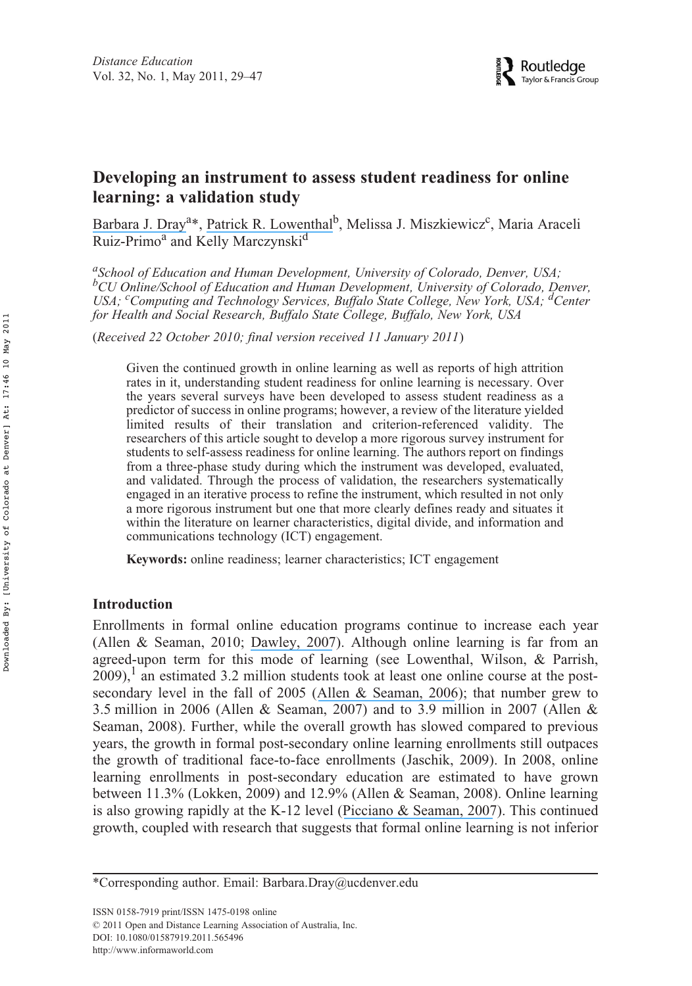# **Developing an instrument to assess student readiness for online learning: a validation study**

[Barbara J. Dray](https://www.researchgate.net/profile/Barbara_Dray?el=1_x_100&enrichId=rgreq-b205b0290859ad36832dc5f852f5d877-XXX&enrichSource=Y292ZXJQYWdlOzIyNDg4NTczMztBUzo5OTY3NTIyNzAzMzYwOEAxNDAwNzc1ODM0NDkx)<sup>a\*</sup>, Patrick R. Lowenthal<sup>b</sup>, Melissa J. Miszkiewicz<sup>c</sup>, Maria Araceli Ruiz-Primo<sup>a</sup> and Kelly Marczynski<sup>d</sup>

*a School of Education and Human Development, University of Colorado, Denver, USA; b CU Online/School of Education and Human Development, University of Colorado, Denver,*  USA; <sup>*c*</sup> Computing and Technology Services, Buffalo State College, New York, USA; <sup>*d*</sup> Center *for Health and Social Research, Buffalo State College, Buffalo, New York, USA*

(*Received 22 October 2010; final version received 11 January 2011*)

Given the continued growth in online learning as well as reports of high attrition rates in it, understanding student readiness for online learning is necessary. Over the years several surveys have been developed to assess student readiness as a predictor of success in online programs; however, a review of the literature yielded limited results of their translation and criterion-referenced validity. The researchers of this article sought to develop a more rigorous survey instrument for students to self-assess readiness for online learning. The authors report on findings from a three-phase study during which the instrument was developed, evaluated, and validated. Through the process of validation, the researchers systematically engaged in an iterative process to refine the instrument, which resulted in not only a more rigorous instrument but one that more clearly defines ready and situates it within the literature on learner characteristics, digital divide, and information and communications technology (ICT) engagement.

**Keywords:** online readiness; learner characteristics; ICT engagement

### **Introduction**

Enrollments in formal online education programs continue to increase each year (Allen & Seaman, 2010; [Dawley, 2007](https://www.researchgate.net/publication/31863530_The_Tools_for_Successful_Online_Teaching_L_Dawley?el=1_x_8&enrichId=rgreq-b205b0290859ad36832dc5f852f5d877-XXX&enrichSource=Y292ZXJQYWdlOzIyNDg4NTczMztBUzo5OTY3NTIyNzAzMzYwOEAxNDAwNzc1ODM0NDkx)). Although online learning is far from an agreed-upon term for this mode of learning (see Lowenthal, Wilson, & Parrish,  $2009$ ),<sup>1</sup> an estimated 3.2 million students took at least one online course at the postsecondary level in the fall of 2005 ([Allen & Seaman, 2006](https://www.researchgate.net/publication/279689661_Making_the_Grade_Online_Education_in_the_United_States_2006_Midwestern_Edition?el=1_x_8&enrichId=rgreq-b205b0290859ad36832dc5f852f5d877-XXX&enrichSource=Y292ZXJQYWdlOzIyNDg4NTczMztBUzo5OTY3NTIyNzAzMzYwOEAxNDAwNzc1ODM0NDkx)); that number grew to 3.5 million in 2006 (Allen & Seaman, 2007) and to 3.9 million in 2007 (Allen & Seaman, 2008). Further, while the overall growth has slowed compared to previous years, the growth in formal post-secondary online learning enrollments still outpaces the growth of traditional face-to-face enrollments (Jaschik, 2009). In 2008, online learning enrollments in post-secondary education are estimated to have grown between 11.3% (Lokken, 2009) and 12.9% (Allen & Seaman, 2008). Online learning is also growing rapidly at the K-12 level ([Picciano & Seaman, 2007](https://www.researchgate.net/publication/258209058_K-12_online_learning_A_survey_of_US_School_district_administrators?el=1_x_8&enrichId=rgreq-b205b0290859ad36832dc5f852f5d877-XXX&enrichSource=Y292ZXJQYWdlOzIyNDg4NTczMztBUzo5OTY3NTIyNzAzMzYwOEAxNDAwNzc1ODM0NDkx)). This continued growth, coupled with research that suggests that formal online learning is not inferior

<sup>\*</sup>Corresponding author. Email: Barbara.Dray@ucdenver.edu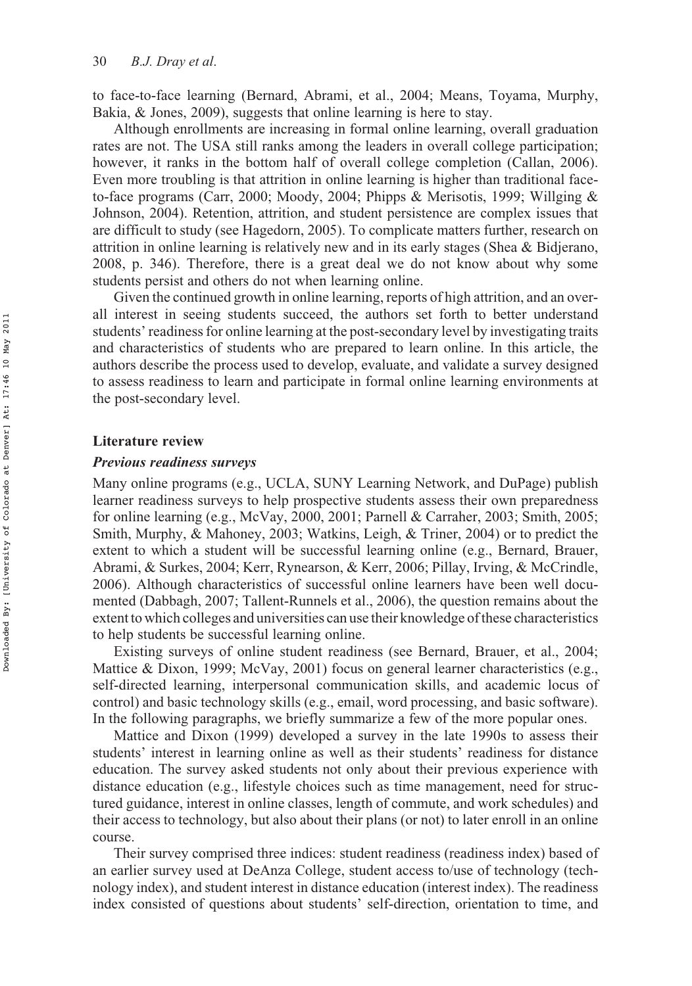to face-to-face learning (Bernard, Abrami, et al., 2004; Means, Toyama, Murphy, Bakia, & Jones, 2009), suggests that online learning is here to stay.

Although enrollments are increasing in formal online learning, overall graduation rates are not. The USA still ranks among the leaders in overall college participation; however, it ranks in the bottom half of overall college completion (Callan, 2006). Even more troubling is that attrition in online learning is higher than traditional faceto-face programs (Carr, 2000; Moody, 2004; Phipps & Merisotis, 1999; Willging & Johnson, 2004). Retention, attrition, and student persistence are complex issues that are difficult to study (see Hagedorn, 2005). To complicate matters further, research on attrition in online learning is relatively new and in its early stages (Shea & Bidjerano, 2008, p. 346). Therefore, there is a great deal we do not know about why some students persist and others do not when learning online.

Given the continued growth in online learning, reports of high attrition, and an overall interest in seeing students succeed, the authors set forth to better understand students' readiness for online learning at the post-secondary level by investigating traits and characteristics of students who are prepared to learn online. In this article, the authors describe the process used to develop, evaluate, and validate a survey designed to assess readiness to learn and participate in formal online learning environments at the post-secondary level.

#### **Literature review**

#### *Previous readiness surveys*

Many online programs (e.g., UCLA, SUNY Learning Network, and DuPage) publish learner readiness surveys to help prospective students assess their own preparedness for online learning (e.g., McVay, 2000, 2001; Parnell & Carraher, 2003; Smith, 2005; Smith, Murphy, & Mahoney, 2003; Watkins, Leigh, & Triner, 2004) or to predict the extent to which a student will be successful learning online (e.g., Bernard, Brauer, Abrami, & Surkes, 2004; Kerr, Rynearson, & Kerr, 2006; Pillay, Irving, & McCrindle, 2006). Although characteristics of successful online learners have been well documented (Dabbagh, 2007; Tallent-Runnels et al., 2006), the question remains about the extent to which colleges and universities can use their knowledge of these characteristics to help students be successful learning online.

Existing surveys of online student readiness (see Bernard, Brauer, et al., 2004; Mattice & Dixon, 1999; McVay, 2001) focus on general learner characteristics (e.g., self-directed learning, interpersonal communication skills, and academic locus of control) and basic technology skills (e.g., email, word processing, and basic software). In the following paragraphs, we briefly summarize a few of the more popular ones.

Mattice and Dixon (1999) developed a survey in the late 1990s to assess their students' interest in learning online as well as their students' readiness for distance education. The survey asked students not only about their previous experience with distance education (e.g., lifestyle choices such as time management, need for structured guidance, interest in online classes, length of commute, and work schedules) and their access to technology, but also about their plans (or not) to later enroll in an online course.

Their survey comprised three indices: student readiness (readiness index) based of an earlier survey used at DeAnza College, student access to/use of technology (technology index), and student interest in distance education (interest index). The readiness index consisted of questions about students' self-direction, orientation to time, and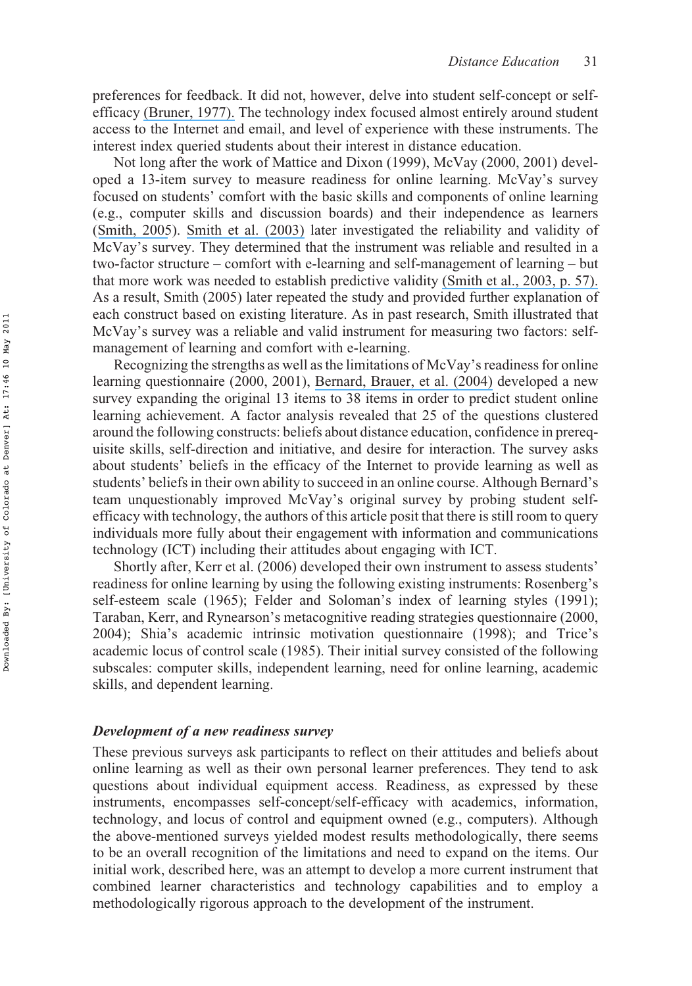preferences for feedback. It did not, however, delve into student self-concept or selfefficacy [\(Bruner, 1977\).](https://www.researchgate.net/publication/48130878_The_Process_of_Education?el=1_x_8&enrichId=rgreq-b205b0290859ad36832dc5f852f5d877-XXX&enrichSource=Y292ZXJQYWdlOzIyNDg4NTczMztBUzo5OTY3NTIyNzAzMzYwOEAxNDAwNzc1ODM0NDkx) The technology index focused almost entirely around student access to the Internet and email, and level of experience with these instruments. The interest index queried students about their interest in distance education.

Not long after the work of Mattice and Dixon (1999), McVay (2000, 2001) developed a 13-item survey to measure readiness for online learning. McVay's survey focused on students' comfort with the basic skills and components of online learning (e.g., computer skills and discussion boards) and their independence as learners ([Smith, 2005](https://www.researchgate.net/publication/247513648_Learning_preferences_and_readiness_for_online_learning?el=1_x_8&enrichId=rgreq-b205b0290859ad36832dc5f852f5d877-XXX&enrichSource=Y292ZXJQYWdlOzIyNDg4NTczMztBUzo5OTY3NTIyNzAzMzYwOEAxNDAwNzc1ODM0NDkx)). [Smith et al. \(2003\)](https://www.researchgate.net/publication/281082844_Towards_identifying_factors_underlying_readiness_for_online_learning_An_exploratory_study?el=1_x_8&enrichId=rgreq-b205b0290859ad36832dc5f852f5d877-XXX&enrichSource=Y292ZXJQYWdlOzIyNDg4NTczMztBUzo5OTY3NTIyNzAzMzYwOEAxNDAwNzc1ODM0NDkx) later investigated the reliability and validity of McVay's survey. They determined that the instrument was reliable and resulted in a two-factor structure – comfort with e-learning and self-management of learning – but that more work was needed to establish predictive validity [\(Smith et al., 2003, p. 57\).](https://www.researchgate.net/publication/249016557_Towards_Identifying_Factors_Underlying_Readiness_for_Online_Learning_An_Exploratory_Study?el=1_x_8&enrichId=rgreq-b205b0290859ad36832dc5f852f5d877-XXX&enrichSource=Y292ZXJQYWdlOzIyNDg4NTczMztBUzo5OTY3NTIyNzAzMzYwOEAxNDAwNzc1ODM0NDkx) As a result, Smith (2005) later repeated the study and provided further explanation of each construct based on existing literature. As in past research, Smith illustrated that McVay's survey was a reliable and valid instrument for measuring two factors: selfmanagement of learning and comfort with e-learning.

Recognizing the strengths as well as the limitations of McVay's readiness for online learning questionnaire (2000, 2001), [Bernard, Brauer, et al. \(2004\)](https://www.researchgate.net/publication/249016740_The_development_of_a_questionnaire_for_predicting_online_learning_achievement?el=1_x_8&enrichId=rgreq-b205b0290859ad36832dc5f852f5d877-XXX&enrichSource=Y292ZXJQYWdlOzIyNDg4NTczMztBUzo5OTY3NTIyNzAzMzYwOEAxNDAwNzc1ODM0NDkx) developed a new survey expanding the original 13 items to 38 items in order to predict student online learning achievement. A factor analysis revealed that 25 of the questions clustered around the following constructs: beliefs about distance education, confidence in prerequisite skills, self-direction and initiative, and desire for interaction. The survey asks about students' beliefs in the efficacy of the Internet to provide learning as well as students' beliefs in their own ability to succeed in an online course. Although Bernard's team unquestionably improved McVay's original survey by probing student selfefficacy with technology, the authors of this article posit that there is still room to query individuals more fully about their engagement with information and communications technology (ICT) including their attitudes about engaging with ICT.

Shortly after, Kerr et al. (2006) developed their own instrument to assess students' readiness for online learning by using the following existing instruments: Rosenberg's self-esteem scale (1965); Felder and Soloman's index of learning styles (1991); Taraban, Kerr, and Rynearson's metacognitive reading strategies questionnaire (2000, 2004); Shia's academic intrinsic motivation questionnaire (1998); and Trice's academic locus of control scale (1985). Their initial survey consisted of the following subscales: computer skills, independent learning, need for online learning, academic skills, and dependent learning.

### *Development of a new readiness survey*

These previous surveys ask participants to reflect on their attitudes and beliefs about online learning as well as their own personal learner preferences. They tend to ask questions about individual equipment access. Readiness, as expressed by these instruments, encompasses self-concept/self-efficacy with academics, information, technology, and locus of control and equipment owned (e.g., computers). Although the above-mentioned surveys yielded modest results methodologically, there seems to be an overall recognition of the limitations and need to expand on the items. Our initial work, described here, was an attempt to develop a more current instrument that combined learner characteristics and technology capabilities and to employ a methodologically rigorous approach to the development of the instrument.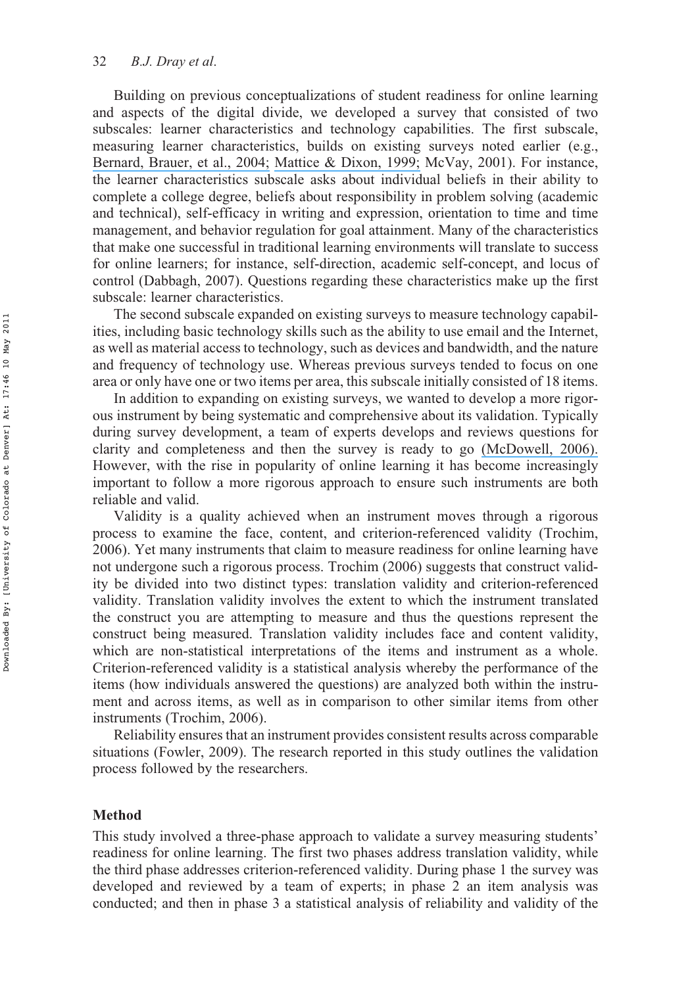Building on previous conceptualizations of student readiness for online learning and aspects of the digital divide, we developed a survey that consisted of two subscales: learner characteristics and technology capabilities. The first subscale, measuring learner characteristics, builds on existing surveys noted earlier (e.g., [Bernard, Brauer, et al., 2004;](https://www.researchgate.net/publication/249016740_The_development_of_a_questionnaire_for_predicting_online_learning_achievement?el=1_x_8&enrichId=rgreq-b205b0290859ad36832dc5f852f5d877-XXX&enrichSource=Y292ZXJQYWdlOzIyNDg4NTczMztBUzo5OTY3NTIyNzAzMzYwOEAxNDAwNzc1ODM0NDkx) [Mattice & Dixon, 1999;](https://www.researchgate.net/publication/234614396_Student_Preparedness_for_Distance_Education?el=1_x_8&enrichId=rgreq-b205b0290859ad36832dc5f852f5d877-XXX&enrichSource=Y292ZXJQYWdlOzIyNDg4NTczMztBUzo5OTY3NTIyNzAzMzYwOEAxNDAwNzc1ODM0NDkx) McVay, 2001). For instance, the learner characteristics subscale asks about individual beliefs in their ability to complete a college degree, beliefs about responsibility in problem solving (academic and technical), self-efficacy in writing and expression, orientation to time and time management, and behavior regulation for goal attainment. Many of the characteristics that make one successful in traditional learning environments will translate to success for online learners; for instance, self-direction, academic self-concept, and locus of control (Dabbagh, 2007). Questions regarding these characteristics make up the first subscale: learner characteristics.

The second subscale expanded on existing surveys to measure technology capabilities, including basic technology skills such as the ability to use email and the Internet, as well as material access to technology, such as devices and bandwidth, and the nature and frequency of technology use. Whereas previous surveys tended to focus on one area or only have one or two items per area, this subscale initially consisted of 18 items.

In addition to expanding on existing surveys, we wanted to develop a more rigorous instrument by being systematic and comprehensive about its validation. Typically during survey development, a team of experts develops and reviews questions for clarity and completeness and then the survey is ready to go [\(McDowell, 2006\).](https://www.researchgate.net/publication/26102909_MEASURING_HEALTH_-_A_GUIDE_TO_RATING_SCALES_AND_QUESTIONNAIRES?el=1_x_8&enrichId=rgreq-b205b0290859ad36832dc5f852f5d877-XXX&enrichSource=Y292ZXJQYWdlOzIyNDg4NTczMztBUzo5OTY3NTIyNzAzMzYwOEAxNDAwNzc1ODM0NDkx) However, with the rise in popularity of online learning it has become increasingly important to follow a more rigorous approach to ensure such instruments are both reliable and valid.

Validity is a quality achieved when an instrument moves through a rigorous process to examine the face, content, and criterion-referenced validity (Trochim, 2006). Yet many instruments that claim to measure readiness for online learning have not undergone such a rigorous process. Trochim (2006) suggests that construct validity be divided into two distinct types: translation validity and criterion-referenced validity. Translation validity involves the extent to which the instrument translated the construct you are attempting to measure and thus the questions represent the construct being measured. Translation validity includes face and content validity, which are non-statistical interpretations of the items and instrument as a whole. Criterion-referenced validity is a statistical analysis whereby the performance of the items (how individuals answered the questions) are analyzed both within the instrument and across items, as well as in comparison to other similar items from other instruments (Trochim, 2006).

Reliability ensures that an instrument provides consistent results across comparable situations (Fowler, 2009). The research reported in this study outlines the validation process followed by the researchers.

### **Method**

This study involved a three-phase approach to validate a survey measuring students' readiness for online learning. The first two phases address translation validity, while the third phase addresses criterion-referenced validity. During phase 1 the survey was developed and reviewed by a team of experts; in phase 2 an item analysis was conducted; and then in phase 3 a statistical analysis of reliability and validity of the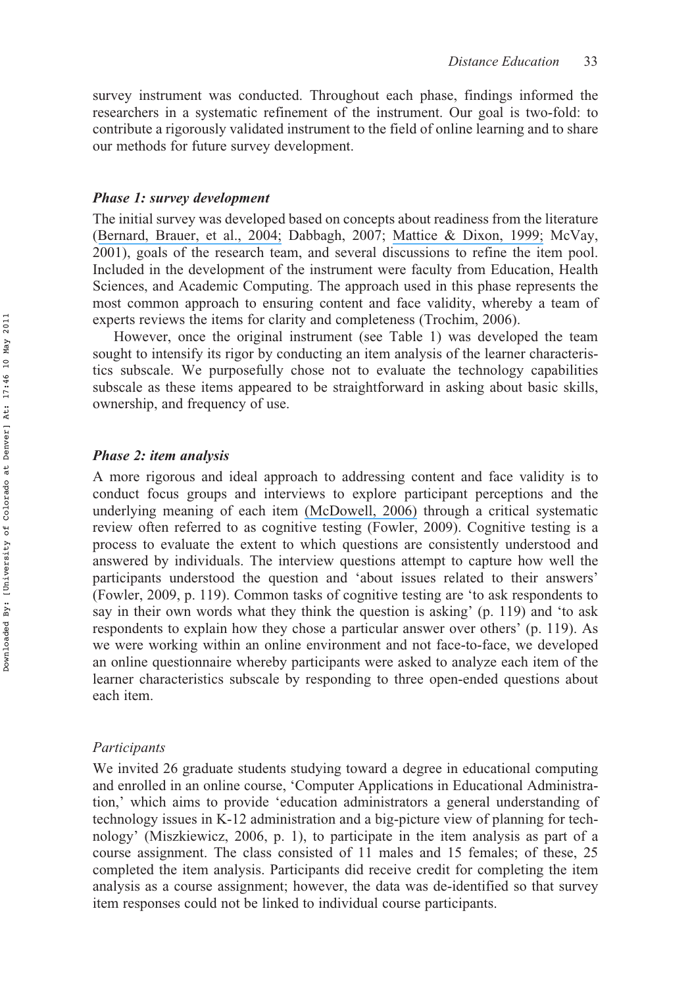survey instrument was conducted. Throughout each phase, findings informed the researchers in a systematic refinement of the instrument. Our goal is two-fold: to contribute a rigorously validated instrument to the field of online learning and to share our methods for future survey development.

#### *Phase 1: survey development*

The initial survey was developed based on concepts about readiness from the literature ([Bernard, Brauer, et al., 2004;](https://www.researchgate.net/publication/249016740_The_development_of_a_questionnaire_for_predicting_online_learning_achievement?el=1_x_8&enrichId=rgreq-b205b0290859ad36832dc5f852f5d877-XXX&enrichSource=Y292ZXJQYWdlOzIyNDg4NTczMztBUzo5OTY3NTIyNzAzMzYwOEAxNDAwNzc1ODM0NDkx) Dabbagh, 2007; [Mattice & Dixon, 1999;](https://www.researchgate.net/publication/234614396_Student_Preparedness_for_Distance_Education?el=1_x_8&enrichId=rgreq-b205b0290859ad36832dc5f852f5d877-XXX&enrichSource=Y292ZXJQYWdlOzIyNDg4NTczMztBUzo5OTY3NTIyNzAzMzYwOEAxNDAwNzc1ODM0NDkx) McVay, 2001), goals of the research team, and several discussions to refine the item pool. Included in the development of the instrument were faculty from Education, Health Sciences, and Academic Computing. The approach used in this phase represents the most common approach to ensuring content and face validity, whereby a team of experts reviews the items for clarity and completeness (Trochim, 2006).

However, once the original instrument (see Table 1) was developed the team sought to intensify its rigor by conducting an item analysis of the learner characteristics subscale. We purposefully chose not to evaluate the technology capabilities subscale as these items appeared to be straightforward in asking about basic skills, ownership, and frequency of use.

#### *Phase 2: item analysis*

A more rigorous and ideal approach to addressing content and face validity is to conduct focus groups and interviews to explore participant perceptions and the underlying meaning of each item [\(McDowell, 2006\)](https://www.researchgate.net/publication/26102909_MEASURING_HEALTH_-_A_GUIDE_TO_RATING_SCALES_AND_QUESTIONNAIRES?el=1_x_8&enrichId=rgreq-b205b0290859ad36832dc5f852f5d877-XXX&enrichSource=Y292ZXJQYWdlOzIyNDg4NTczMztBUzo5OTY3NTIyNzAzMzYwOEAxNDAwNzc1ODM0NDkx) through a critical systematic review often referred to as cognitive testing (Fowler, 2009). Cognitive testing is a process to evaluate the extent to which questions are consistently understood and answered by individuals. The interview questions attempt to capture how well the participants understood the question and 'about issues related to their answers' (Fowler, 2009, p. 119). Common tasks of cognitive testing are 'to ask respondents to say in their own words what they think the question is asking' (p. 119) and 'to ask respondents to explain how they chose a particular answer over others' (p. 119). As we were working within an online environment and not face-to-face, we developed an online questionnaire whereby participants were asked to analyze each item of the learner characteristics subscale by responding to three open-ended questions about each item.

### *Participants*

We invited 26 graduate students studying toward a degree in educational computing and enrolled in an online course, 'Computer Applications in Educational Administration,' which aims to provide 'education administrators a general understanding of technology issues in K-12 administration and a big-picture view of planning for technology' (Miszkiewicz, 2006, p. 1), to participate in the item analysis as part of a course assignment. The class consisted of 11 males and 15 females; of these, 25 completed the item analysis. Participants did receive credit for completing the item analysis as a course assignment; however, the data was de-identified so that survey item responses could not be linked to individual course participants.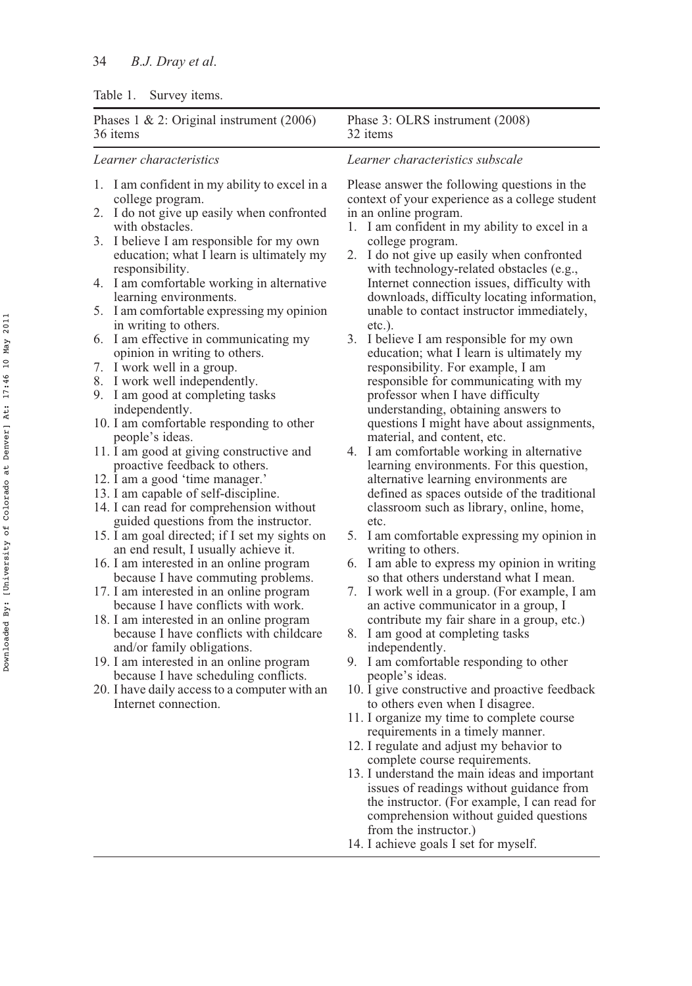| Table 1. | Survey items. |  |
|----------|---------------|--|
|----------|---------------|--|

| Phases 1 & 2: Original instrument $(2006)$<br>36 items |                                                                                                                                                                                                                                           |                                  | Phase 3: OLRS instrument (2008)<br>32 items                                                                                                                                                                                                                                                                                                                                                                   |  |  |  |  |
|--------------------------------------------------------|-------------------------------------------------------------------------------------------------------------------------------------------------------------------------------------------------------------------------------------------|----------------------------------|---------------------------------------------------------------------------------------------------------------------------------------------------------------------------------------------------------------------------------------------------------------------------------------------------------------------------------------------------------------------------------------------------------------|--|--|--|--|
|                                                        | Learner characteristics                                                                                                                                                                                                                   | Learner characteristics subscale |                                                                                                                                                                                                                                                                                                                                                                                                               |  |  |  |  |
|                                                        | 1. I am confident in my ability to excel in a<br>college program.<br>2. I do not give up easily when confronted<br>with obstacles.                                                                                                        | 1.                               | Please answer the following questions in the<br>context of your experience as a college student<br>in an online program.<br>I am confident in my ability to excel in a                                                                                                                                                                                                                                        |  |  |  |  |
|                                                        | 3. I believe I am responsible for my own<br>education; what I learn is ultimately my<br>responsibility.                                                                                                                                   | 2.                               | college program.<br>I do not give up easily when confronted<br>with technology-related obstacles (e.g.,                                                                                                                                                                                                                                                                                                       |  |  |  |  |
|                                                        | 4. I am comfortable working in alternative<br>learning environments.                                                                                                                                                                      |                                  | Internet connection issues, difficulty with<br>downloads, difficulty locating information,                                                                                                                                                                                                                                                                                                                    |  |  |  |  |
|                                                        | 5. I am comfortable expressing my opinion<br>in writing to others.<br>6. I am effective in communicating my                                                                                                                               | 3.                               | unable to contact instructor immediately,<br>$etc.$ ).<br>I believe I am responsible for my own                                                                                                                                                                                                                                                                                                               |  |  |  |  |
| 7.                                                     | opinion in writing to others.<br>I work well in a group.<br>8. I work well independently.<br>9. I am good at completing tasks<br>independently.<br>10. I am comfortable responding to other<br>people's ideas.                            |                                  | education; what I learn is ultimately my<br>responsibility. For example, I am<br>responsible for communicating with my<br>professor when I have difficulty<br>understanding, obtaining answers to<br>questions I might have about assignments,<br>material, and content, etc.                                                                                                                                 |  |  |  |  |
|                                                        | 11. I am good at giving constructive and<br>proactive feedback to others.<br>12. I am a good 'time manager.'<br>13. I am capable of self-discipline.<br>14. I can read for comprehension without<br>guided questions from the instructor. | 4.                               | I am comfortable working in alternative<br>learning environments. For this question,<br>alternative learning environments are<br>defined as spaces outside of the traditional<br>classroom such as library, online, home,<br>etc.                                                                                                                                                                             |  |  |  |  |
|                                                        | 15. I am goal directed; if I set my sights on<br>an end result, I usually achieve it.                                                                                                                                                     |                                  | 5. I am comfortable expressing my opinion in<br>writing to others.                                                                                                                                                                                                                                                                                                                                            |  |  |  |  |
|                                                        | 16. I am interested in an online program<br>because I have commuting problems.                                                                                                                                                            |                                  | 6. I am able to express my opinion in writing<br>so that others understand what I mean.                                                                                                                                                                                                                                                                                                                       |  |  |  |  |
|                                                        | 17. I am interested in an online program<br>because I have conflicts with work.<br>18. I am interested in an online program                                                                                                               |                                  | 7. I work well in a group. (For example, I am<br>an active communicator in a group, I<br>contribute my fair share in a group, etc.)                                                                                                                                                                                                                                                                           |  |  |  |  |
|                                                        | because I have conflicts with childcare<br>and/or family obligations.                                                                                                                                                                     |                                  | 8. I am good at completing tasks<br>independently.                                                                                                                                                                                                                                                                                                                                                            |  |  |  |  |
|                                                        | 19. I am interested in an online program<br>because I have scheduling conflicts.<br>20. I have daily access to a computer with an                                                                                                         |                                  | 9. I am comfortable responding to other<br>people's ideas.<br>10. I give constructive and proactive feedback                                                                                                                                                                                                                                                                                                  |  |  |  |  |
|                                                        | Internet connection.                                                                                                                                                                                                                      |                                  | to others even when I disagree.<br>11. I organize my time to complete course<br>requirements in a timely manner.<br>12. I regulate and adjust my behavior to<br>complete course requirements.<br>13. I understand the main ideas and important<br>issues of readings without guidance from<br>the instructor. (For example, I can read for<br>comprehension without guided questions<br>from the instructor.) |  |  |  |  |

14. I achieve goals I set for myself.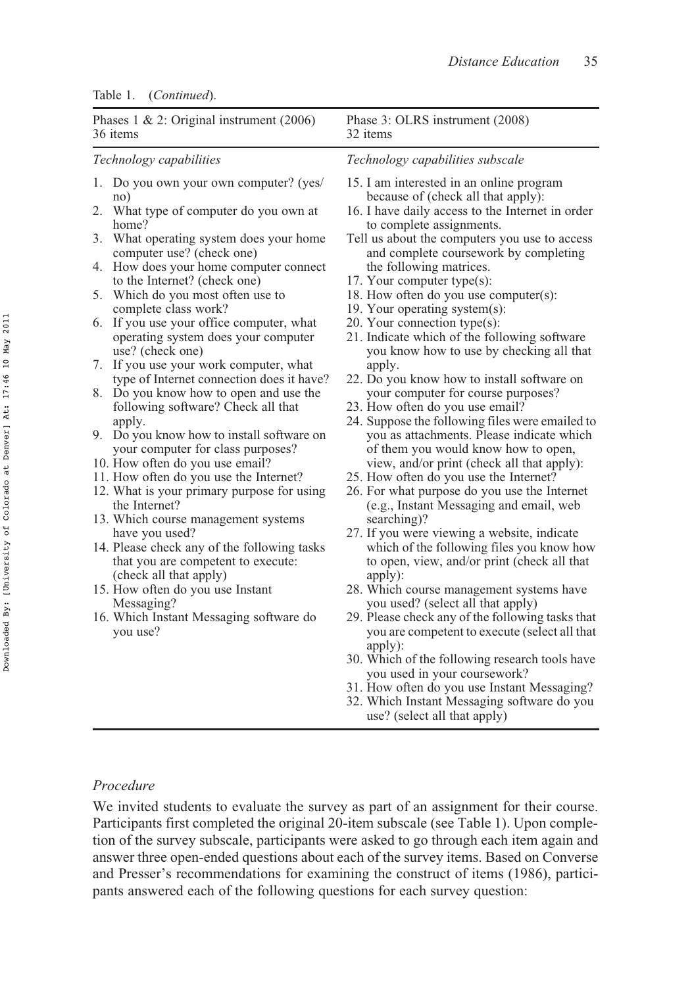| Table 1. |  | (Continued). |  |
|----------|--|--------------|--|
|----------|--|--------------|--|

| Phases 1 & 2: Original instrument $(2006)$<br>36 items                                                                                                                                                                                                                                                                                                                                                                                                                                                                                                                                                                                                                                                                                                                                                                                                                                                                                                                                                                                                                                                                    | Phase 3: OLRS instrument (2008)<br>32 items                                                                                                                                                                                                                                                                                                                                                                                                                                                                                                                                                                                                                                                                                                                                                                                                                                                                                                                                                                                                                                                                                                                                                                                                                                                                                                                                                                |  |  |  |
|---------------------------------------------------------------------------------------------------------------------------------------------------------------------------------------------------------------------------------------------------------------------------------------------------------------------------------------------------------------------------------------------------------------------------------------------------------------------------------------------------------------------------------------------------------------------------------------------------------------------------------------------------------------------------------------------------------------------------------------------------------------------------------------------------------------------------------------------------------------------------------------------------------------------------------------------------------------------------------------------------------------------------------------------------------------------------------------------------------------------------|------------------------------------------------------------------------------------------------------------------------------------------------------------------------------------------------------------------------------------------------------------------------------------------------------------------------------------------------------------------------------------------------------------------------------------------------------------------------------------------------------------------------------------------------------------------------------------------------------------------------------------------------------------------------------------------------------------------------------------------------------------------------------------------------------------------------------------------------------------------------------------------------------------------------------------------------------------------------------------------------------------------------------------------------------------------------------------------------------------------------------------------------------------------------------------------------------------------------------------------------------------------------------------------------------------------------------------------------------------------------------------------------------------|--|--|--|
| Technology capabilities                                                                                                                                                                                                                                                                                                                                                                                                                                                                                                                                                                                                                                                                                                                                                                                                                                                                                                                                                                                                                                                                                                   | Technology capabilities subscale                                                                                                                                                                                                                                                                                                                                                                                                                                                                                                                                                                                                                                                                                                                                                                                                                                                                                                                                                                                                                                                                                                                                                                                                                                                                                                                                                                           |  |  |  |
| Do you own your own computer? (yes/<br>1.<br>no)<br>2. What type of computer do you own at<br>home?<br>3. What operating system does your home<br>computer use? (check one)<br>4. How does your home computer connect<br>to the Internet? (check one)<br>5. Which do you most often use to<br>complete class work?<br>6. If you use your office computer, what<br>operating system does your computer<br>use? (check one)<br>7. If you use your work computer, what<br>type of Internet connection does it have?<br>8. Do you know how to open and use the<br>following software? Check all that<br>apply.<br>9. Do you know how to install software on<br>your computer for class purposes?<br>10. How often do you use email?<br>11. How often do you use the Internet?<br>12. What is your primary purpose for using<br>the Internet?<br>13. Which course management systems<br>have you used?<br>14. Please check any of the following tasks<br>that you are competent to execute:<br>(check all that apply)<br>15. How often do you use Instant<br>Messaging?<br>16. Which Instant Messaging software do<br>you use? | 15. I am interested in an online program<br>because of (check all that apply):<br>16. I have daily access to the Internet in order<br>to complete assignments.<br>Tell us about the computers you use to access<br>and complete coursework by completing<br>the following matrices.<br>17. Your computer type(s):<br>18. How often do you use computer(s):<br>19. Your operating system(s):<br>20. Your connection type(s):<br>21. Indicate which of the following software<br>you know how to use by checking all that<br>apply.<br>22. Do you know how to install software on<br>your computer for course purposes?<br>23. How often do you use email?<br>24. Suppose the following files were emailed to<br>you as attachments. Please indicate which<br>of them you would know how to open,<br>view, and/or print (check all that apply):<br>25. How often do you use the Internet?<br>26. For what purpose do you use the Internet<br>(e.g., Instant Messaging and email, web<br>searching)?<br>27. If you were viewing a website, indicate<br>which of the following files you know how<br>to open, view, and/or print (check all that<br>apply):<br>28. Which course management systems have<br>you used? (select all that apply)<br>29. Please check any of the following tasks that<br>you are competent to execute (select all that<br>apply):<br>30. Which of the following research tools have |  |  |  |
|                                                                                                                                                                                                                                                                                                                                                                                                                                                                                                                                                                                                                                                                                                                                                                                                                                                                                                                                                                                                                                                                                                                           | you used in your coursework?<br>31. How often do you use Instant Messaging?<br>32. Which Instant Messaging software do you<br>use? (select all that apply)                                                                                                                                                                                                                                                                                                                                                                                                                                                                                                                                                                                                                                                                                                                                                                                                                                                                                                                                                                                                                                                                                                                                                                                                                                                 |  |  |  |

### *Procedure*

We invited students to evaluate the survey as part of an assignment for their course. Participants first completed the original 20-item subscale (see Table 1). Upon completion of the survey subscale, participants were asked to go through each item again and answer three open-ended questions about each of the survey items. Based on Converse and Presser's recommendations for examining the construct of items (1986), participants answered each of the following questions for each survey question: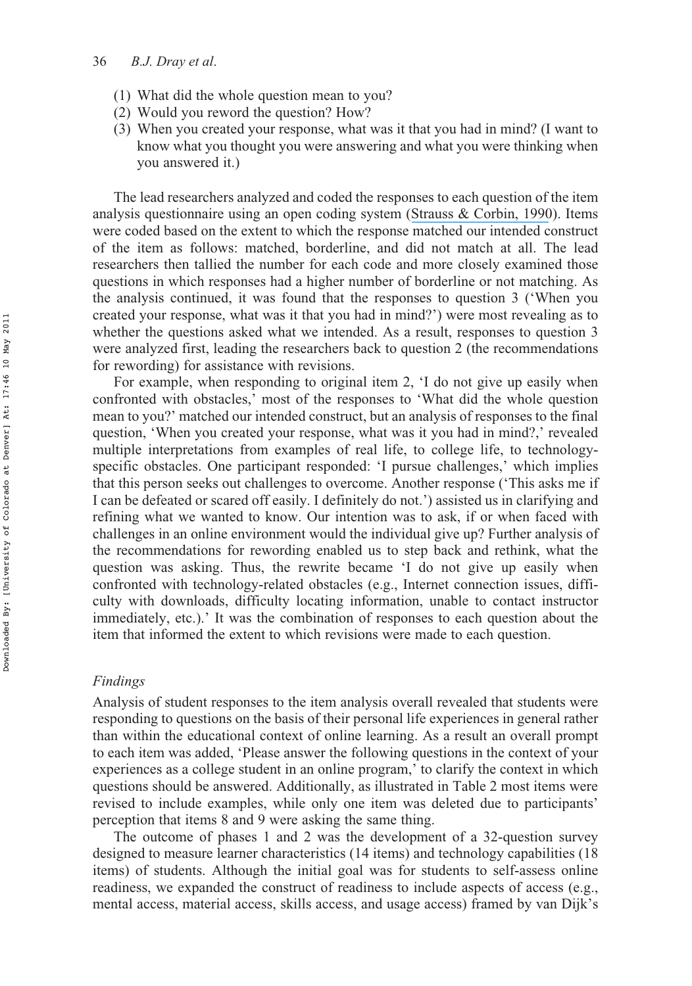- (1) What did the whole question mean to you?
- (2) Would you reword the question? How?
- (3) When you created your response, what was it that you had in mind? (I want to know what you thought you were answering and what you were thinking when you answered it.)

The lead researchers analyzed and coded the responses to each question of the item analysis questionnaire using an open coding system ([Strauss & Corbin, 1990](https://www.researchgate.net/publication/245581479_Basics_Of_Qualitative_Research_Grounded_Theory_Procedures_And_Techniques?el=1_x_8&enrichId=rgreq-b205b0290859ad36832dc5f852f5d877-XXX&enrichSource=Y292ZXJQYWdlOzIyNDg4NTczMztBUzo5OTY3NTIyNzAzMzYwOEAxNDAwNzc1ODM0NDkx)). Items were coded based on the extent to which the response matched our intended construct of the item as follows: matched, borderline, and did not match at all. The lead researchers then tallied the number for each code and more closely examined those questions in which responses had a higher number of borderline or not matching. As the analysis continued, it was found that the responses to question 3 ('When you created your response, what was it that you had in mind?') were most revealing as to whether the questions asked what we intended. As a result, responses to question 3 were analyzed first, leading the researchers back to question 2 (the recommendations for rewording) for assistance with revisions.

For example, when responding to original item 2, 'I do not give up easily when confronted with obstacles,' most of the responses to 'What did the whole question mean to you?' matched our intended construct, but an analysis of responses to the final question, 'When you created your response, what was it you had in mind?,' revealed multiple interpretations from examples of real life, to college life, to technologyspecific obstacles. One participant responded: 'I pursue challenges,' which implies that this person seeks out challenges to overcome. Another response ('This asks me if I can be defeated or scared off easily. I definitely do not.') assisted us in clarifying and refining what we wanted to know. Our intention was to ask, if or when faced with challenges in an online environment would the individual give up? Further analysis of the recommendations for rewording enabled us to step back and rethink, what the question was asking. Thus, the rewrite became 'I do not give up easily when confronted with technology-related obstacles (e.g., Internet connection issues, difficulty with downloads, difficulty locating information, unable to contact instructor immediately, etc.).' It was the combination of responses to each question about the item that informed the extent to which revisions were made to each question.

### *Findings*

Analysis of student responses to the item analysis overall revealed that students were responding to questions on the basis of their personal life experiences in general rather than within the educational context of online learning. As a result an overall prompt to each item was added, 'Please answer the following questions in the context of your experiences as a college student in an online program,' to clarify the context in which questions should be answered. Additionally, as illustrated in Table 2 most items were revised to include examples, while only one item was deleted due to participants' perception that items 8 and 9 were asking the same thing.

The outcome of phases 1 and 2 was the development of a 32-question survey designed to measure learner characteristics (14 items) and technology capabilities (18 items) of students. Although the initial goal was for students to self-assess online readiness, we expanded the construct of readiness to include aspects of access (e.g., mental access, material access, skills access, and usage access) framed by van Dijk's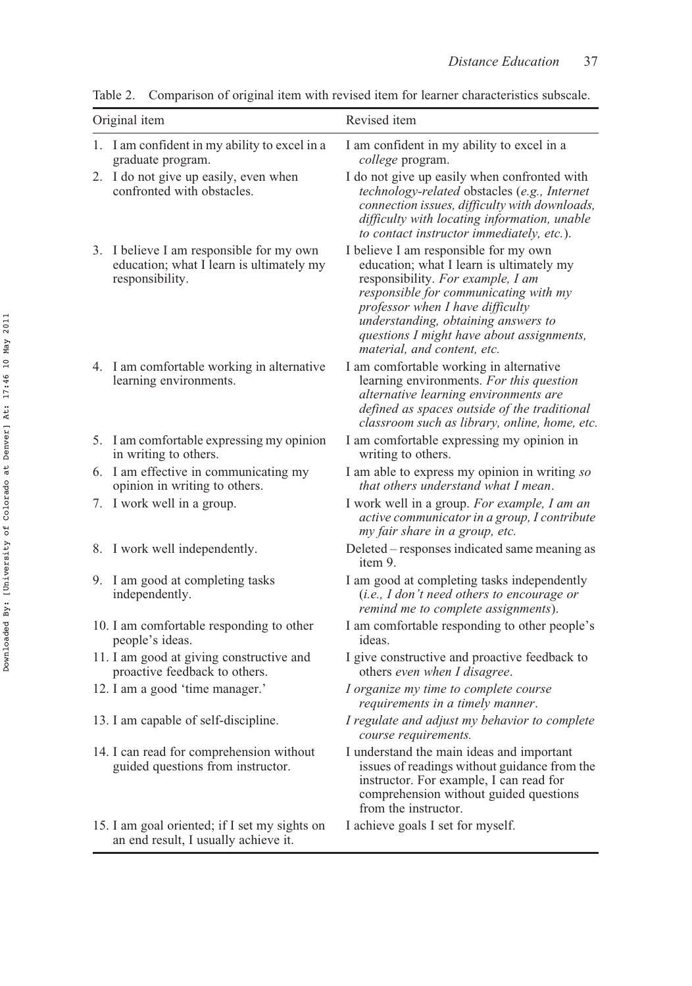| Original item                                                                                           | Revised item                                                                                                                                                                                                                                                                                                           |  |  |
|---------------------------------------------------------------------------------------------------------|------------------------------------------------------------------------------------------------------------------------------------------------------------------------------------------------------------------------------------------------------------------------------------------------------------------------|--|--|
| 1. I am confident in my ability to excel in a<br>graduate program.                                      | I am confident in my ability to excel in a<br>college program.                                                                                                                                                                                                                                                         |  |  |
| 2. I do not give up easily, even when<br>confronted with obstacles.                                     | I do not give up easily when confronted with<br>technology-related obstacles (e.g., Internet<br>connection issues, difficulty with downloads,<br>difficulty with locating information, unable<br>to contact instructor immediately, etc.).                                                                             |  |  |
| 3. I believe I am responsible for my own<br>education; what I learn is ultimately my<br>responsibility. | I believe I am responsible for my own<br>education; what I learn is ultimately my<br>responsibility. For example, I am<br>responsible for communicating with my<br>professor when I have difficulty<br>understanding, obtaining answers to<br>questions I might have about assignments,<br>material, and content, etc. |  |  |
| 4. I am comfortable working in alternative<br>learning environments.                                    | I am comfortable working in alternative<br>learning environments. For this question<br>alternative learning environments are<br>defined as spaces outside of the traditional<br>classroom such as library, online, home, etc.                                                                                          |  |  |
| 5. I am comfortable expressing my opinion<br>in writing to others.                                      | I am comfortable expressing my opinion in<br>writing to others.                                                                                                                                                                                                                                                        |  |  |
| 6. I am effective in communicating my<br>opinion in writing to others.                                  | I am able to express my opinion in writing so<br>that others understand what I mean.                                                                                                                                                                                                                                   |  |  |
| 7. I work well in a group.                                                                              | I work well in a group. For example, I am an<br>active communicator in a group, I contribute<br>my fair share in a group, etc.                                                                                                                                                                                         |  |  |
| 8. I work well independently.                                                                           | Deleted – responses indicated same meaning as<br>item 9.                                                                                                                                                                                                                                                               |  |  |
| 9. I am good at completing tasks<br>independently.                                                      | I am good at completing tasks independently<br>(i.e., I don't need others to encourage or<br>remind me to complete assignments).                                                                                                                                                                                       |  |  |
| 10. I am comfortable responding to other<br>people's ideas.                                             | I am comfortable responding to other people's<br>ideas.                                                                                                                                                                                                                                                                |  |  |
| 11. I am good at giving constructive and<br>proactive feedback to others.                               | I give constructive and proactive feedback to<br>others even when I disagree.                                                                                                                                                                                                                                          |  |  |
| 12. I am a good 'time manager.'                                                                         | I organize my time to complete course<br>requirements in a timely manner.                                                                                                                                                                                                                                              |  |  |
| 13. I am capable of self-discipline.                                                                    | I regulate and adjust my behavior to complete<br>course requirements.                                                                                                                                                                                                                                                  |  |  |
| 14. I can read for comprehension without<br>guided questions from instructor.                           | I understand the main ideas and important<br>issues of readings without guidance from the<br>instructor. For example, I can read for<br>comprehension without guided questions<br>from the instructor.                                                                                                                 |  |  |
| 15. I am goal oriented; if I set my sights on<br>an end result, I usually achieve it.                   | I achieve goals I set for myself.                                                                                                                                                                                                                                                                                      |  |  |

Table 2. Comparison of original item with revised item for learner characteristics subscale.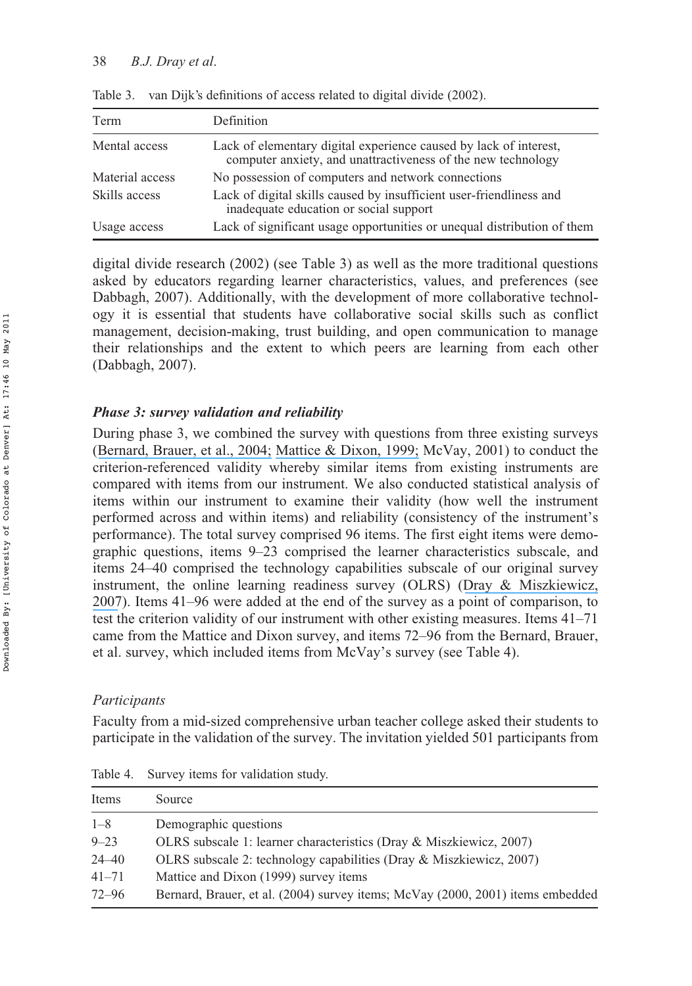| Term            | Definition                                                                                                                        |
|-----------------|-----------------------------------------------------------------------------------------------------------------------------------|
| Mental access   | Lack of elementary digital experience caused by lack of interest,<br>computer anxiety, and unattractiveness of the new technology |
| Material access | No possession of computers and network connections                                                                                |
| Skills access   | Lack of digital skills caused by insufficient user-friendliness and<br>inadequate education or social support                     |
| Usage access    | Lack of significant usage opportunities or unequal distribution of them                                                           |

Table 3. van Dijk's definitions of access related to digital divide (2002).

digital divide research (2002) (see Table 3) as well as the more traditional questions asked by educators regarding learner characteristics, values, and preferences (see Dabbagh, 2007). Additionally, with the development of more collaborative technology it is essential that students have collaborative social skills such as conflict management, decision-making, trust building, and open communication to manage their relationships and the extent to which peers are learning from each other (Dabbagh, 2007).

# *Phase 3: survey validation and reliability*

During phase 3, we combined the survey with questions from three existing surveys ([Bernard, Brauer, et al., 2004;](https://www.researchgate.net/publication/249016740_The_development_of_a_questionnaire_for_predicting_online_learning_achievement?el=1_x_8&enrichId=rgreq-b205b0290859ad36832dc5f852f5d877-XXX&enrichSource=Y292ZXJQYWdlOzIyNDg4NTczMztBUzo5OTY3NTIyNzAzMzYwOEAxNDAwNzc1ODM0NDkx) [Mattice & Dixon, 1999;](https://www.researchgate.net/publication/234614396_Student_Preparedness_for_Distance_Education?el=1_x_8&enrichId=rgreq-b205b0290859ad36832dc5f852f5d877-XXX&enrichSource=Y292ZXJQYWdlOzIyNDg4NTczMztBUzo5OTY3NTIyNzAzMzYwOEAxNDAwNzc1ODM0NDkx) McVay, 2001) to conduct the criterion-referenced validity whereby similar items from existing instruments are compared with items from our instrument. We also conducted statistical analysis of items within our instrument to examine their validity (how well the instrument performed across and within items) and reliability (consistency of the instrument's performance). The total survey comprised 96 items. The first eight items were demographic questions, items 9–23 comprised the learner characteristics subscale, and items 24–40 comprised the technology capabilities subscale of our original survey instrument, the online learning readiness survey (OLRS) ([Dray & Miszkiewicz,](https://www.researchgate.net/publication/49250852_The_Intersection_of_Learner_Characteristics_and_Technology_Capabilities_Implications_for_Online_Learning?el=1_x_8&enrichId=rgreq-b205b0290859ad36832dc5f852f5d877-XXX&enrichSource=Y292ZXJQYWdlOzIyNDg4NTczMztBUzo5OTY3NTIyNzAzMzYwOEAxNDAwNzc1ODM0NDkx) [2007](https://www.researchgate.net/publication/49250852_The_Intersection_of_Learner_Characteristics_and_Technology_Capabilities_Implications_for_Online_Learning?el=1_x_8&enrichId=rgreq-b205b0290859ad36832dc5f852f5d877-XXX&enrichSource=Y292ZXJQYWdlOzIyNDg4NTczMztBUzo5OTY3NTIyNzAzMzYwOEAxNDAwNzc1ODM0NDkx)). Items 41–96 were added at the end of the survey as a point of comparison, to test the criterion validity of our instrument with other existing measures. Items 41–71 came from the Mattice and Dixon survey, and items 72–96 from the Bernard, Brauer, et al. survey, which included items from McVay's survey (see Table 4).

### *Participants*

Faculty from a mid-sized comprehensive urban teacher college asked their students to participate in the validation of the survey. The invitation yielded 501 participants from

| Items     | Source                                                                         |
|-----------|--------------------------------------------------------------------------------|
| $1 - 8$   | Demographic questions                                                          |
| $9 - 23$  | OLRS subscale 1: learner characteristics (Dray & Miszkiewicz, 2007)            |
| $24 - 40$ | OLRS subscale 2: technology capabilities (Dray & Miszkiewicz, 2007)            |
| $41 - 71$ | Mattice and Dixon (1999) survey items                                          |
| $72 - 96$ | Bernard, Brauer, et al. (2004) survey items; McVay (2000, 2001) items embedded |

Table 4. Survey items for validation study.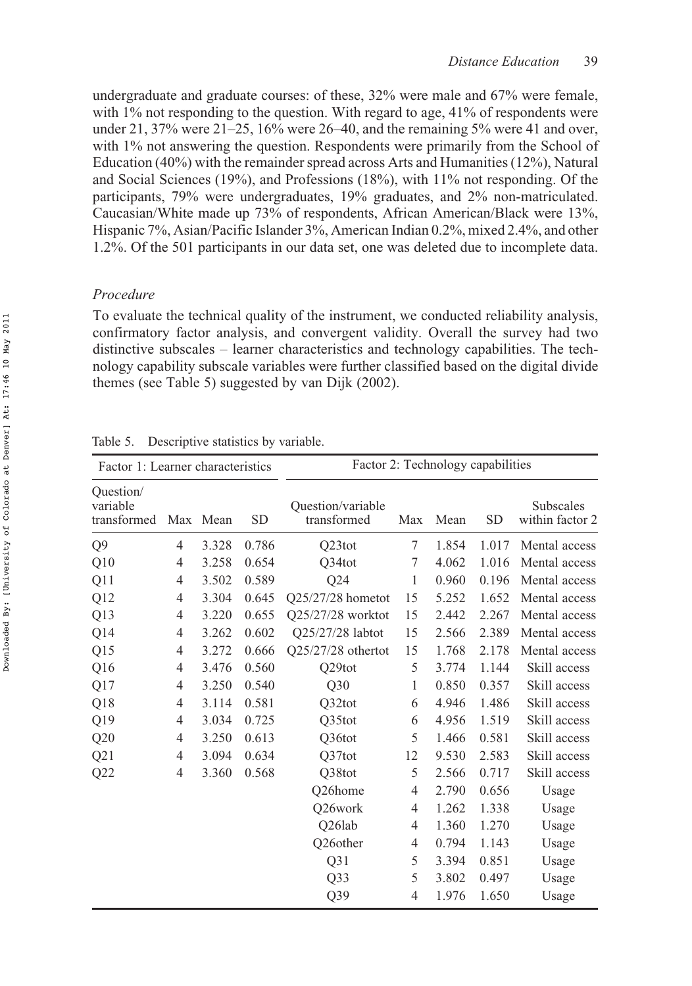undergraduate and graduate courses: of these, 32% were male and 67% were female, with  $1\%$  not responding to the question. With regard to age,  $41\%$  of respondents were under 21, 37% were  $21-25$ , 16% were 26–40, and the remaining 5% were 41 and over, with 1% not answering the question. Respondents were primarily from the School of Education (40%) with the remainder spread across Arts and Humanities (12%), Natural and Social Sciences (19%), and Professions (18%), with 11% not responding. Of the participants, 79% were undergraduates, 19% graduates, and 2% non-matriculated. Caucasian/White made up 73% of respondents, African American/Black were 13%, Hispanic 7%, Asian/Pacific Islander 3%, American Indian 0.2%, mixed 2.4%, and other 1.2%. Of the 501 participants in our data set, one was deleted due to incomplete data.

### *Procedure*

To evaluate the technical quality of the instrument, we conducted reliability analysis, confirmatory factor analysis, and convergent validity. Overall the survey had two distinctive subscales – learner characteristics and technology capabilities. The technology capability subscale variables were further classified based on the digital divide themes (see Table 5) suggested by van Dijk (2002).

| Factor 1: Learner characteristics    |                |       | Factor 2: Technology capabilities |                                  |                |       |           |                              |
|--------------------------------------|----------------|-------|-----------------------------------|----------------------------------|----------------|-------|-----------|------------------------------|
| Ouestion/<br>variable<br>transformed | Max            | Mean  | <b>SD</b>                         | Question/variable<br>transformed | Max            | Mean  | <b>SD</b> | Subscales<br>within factor 2 |
| Q <sub>9</sub>                       | 4              | 3.328 | 0.786                             | Q23tot                           | 7              | 1.854 | 1.017     | Mental access                |
| Q10                                  | $\overline{4}$ | 3.258 | 0.654                             | O34tot                           | 7              | 4.062 | 1.016     | Mental access                |
| Q11                                  | $\overline{4}$ | 3.502 | 0.589                             | Q24                              | 1              | 0.960 | 0.196     | Mental access                |
| Q12                                  | $\overline{4}$ | 3.304 | 0.645                             | $Q25/27/28$ hometot              | 15             | 5.252 | 1.652     | Mental access                |
| Q13                                  | $\overline{4}$ | 3.220 | 0.655                             | O25/27/28 worktot                | 15             | 2.442 | 2.267     | Mental access                |
| Q14                                  | $\overline{4}$ | 3.262 | 0.602                             | O25/27/28 labtot                 | 15             | 2.566 | 2.389     | Mental access                |
| Q15                                  | $\overline{4}$ | 3.272 | 0.666                             | $Q25/27/28$ othertot             | 15             | 1.768 | 2.178     | Mental access                |
| Q16                                  | $\overline{4}$ | 3.476 | 0.560                             | Q29tot                           | 5              | 3.774 | 1.144     | Skill access                 |
| Q17                                  | 4              | 3.250 | 0.540                             | Q30                              | 1              | 0.850 | 0.357     | Skill access                 |
| Q18                                  | $\overline{4}$ | 3.114 | 0.581                             | Q32tot                           | 6              | 4.946 | 1.486     | Skill access                 |
| Q19                                  | 4              | 3.034 | 0.725                             | O35tot                           | 6              | 4.956 | 1.519     | Skill access                 |
| Q20                                  | 4              | 3.250 | 0.613                             | O36tot                           | 5              | 1.466 | 0.581     | Skill access                 |
| Q21                                  | $\overline{4}$ | 3.094 | 0.634                             | O37tot                           | 12             | 9.530 | 2.583     | Skill access                 |
| Q22                                  | 4              | 3.360 | 0.568                             | O38tot                           | 5              | 2.566 | 0.717     | Skill access                 |
|                                      |                |       |                                   | O <sub>26</sub> home             | $\overline{4}$ | 2.790 | 0.656     | Usage                        |
|                                      |                |       |                                   | O <sub>26</sub> work             | $\overline{4}$ | 1.262 | 1.338     | Usage                        |
|                                      |                |       |                                   | Q26lab                           | 4              | 1.360 | 1.270     | Usage                        |
|                                      |                |       |                                   | Q26other                         | $\overline{4}$ | 0.794 | 1.143     | Usage                        |
|                                      |                |       |                                   | Q31                              | 5              | 3.394 | 0.851     | Usage                        |
|                                      |                |       |                                   | Q33                              | 5              | 3.802 | 0.497     | Usage                        |
|                                      |                |       |                                   | Q39                              | 4              | 1.976 | 1.650     | Usage                        |

Table 5. Descriptive statistics by variable.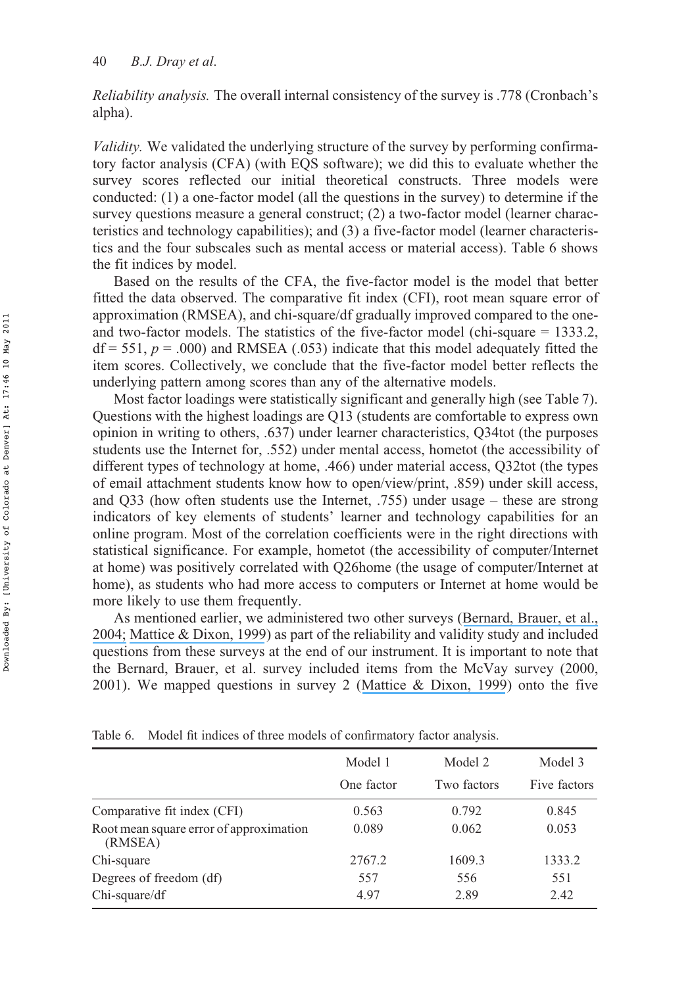*Reliability analysis.* The overall internal consistency of the survey is .778 (Cronbach's alpha).

*Validity.* We validated the underlying structure of the survey by performing confirmatory factor analysis (CFA) (with EQS software); we did this to evaluate whether the survey scores reflected our initial theoretical constructs. Three models were conducted: (1) a one-factor model (all the questions in the survey) to determine if the survey questions measure a general construct; (2) a two-factor model (learner characteristics and technology capabilities); and (3) a five-factor model (learner characteristics and the four subscales such as mental access or material access). Table 6 shows the fit indices by model.

Based on the results of the CFA, the five-factor model is the model that better fitted the data observed. The comparative fit index (CFI), root mean square error of approximation (RMSEA), and chi-square/df gradually improved compared to the oneand two-factor models. The statistics of the five-factor model (chi-square = 1333.2,  $df = 551$ ,  $p = .000$ ) and RMSEA (.053) indicate that this model adequately fitted the item scores. Collectively, we conclude that the five-factor model better reflects the underlying pattern among scores than any of the alternative models.

Most factor loadings were statistically significant and generally high (see Table 7). Questions with the highest loadings are Q13 (students are comfortable to express own opinion in writing to others, .637) under learner characteristics, Q34tot (the purposes students use the Internet for, .552) under mental access, hometot (the accessibility of different types of technology at home, .466) under material access, Q32tot (the types of email attachment students know how to open/view/print, .859) under skill access, and Q33 (how often students use the Internet, .755) under usage – these are strong indicators of key elements of students' learner and technology capabilities for an online program. Most of the correlation coefficients were in the right directions with statistical significance. For example, hometot (the accessibility of computer/Internet at home) was positively correlated with Q26home (the usage of computer/Internet at home), as students who had more access to computers or Internet at home would be more likely to use them frequently.

As mentioned earlier, we administered two other surveys ([Bernard, Brauer, et al.,](https://www.researchgate.net/publication/249016740_The_development_of_a_questionnaire_for_predicting_online_learning_achievement?el=1_x_8&enrichId=rgreq-b205b0290859ad36832dc5f852f5d877-XXX&enrichSource=Y292ZXJQYWdlOzIyNDg4NTczMztBUzo5OTY3NTIyNzAzMzYwOEAxNDAwNzc1ODM0NDkx) [2004;](https://www.researchgate.net/publication/249016740_The_development_of_a_questionnaire_for_predicting_online_learning_achievement?el=1_x_8&enrichId=rgreq-b205b0290859ad36832dc5f852f5d877-XXX&enrichSource=Y292ZXJQYWdlOzIyNDg4NTczMztBUzo5OTY3NTIyNzAzMzYwOEAxNDAwNzc1ODM0NDkx) [Mattice & Dixon, 1999](https://www.researchgate.net/publication/234614396_Student_Preparedness_for_Distance_Education?el=1_x_8&enrichId=rgreq-b205b0290859ad36832dc5f852f5d877-XXX&enrichSource=Y292ZXJQYWdlOzIyNDg4NTczMztBUzo5OTY3NTIyNzAzMzYwOEAxNDAwNzc1ODM0NDkx)) as part of the reliability and validity study and included questions from these surveys at the end of our instrument. It is important to note that the Bernard, Brauer, et al. survey included items from the McVay survey (2000, 2001). We mapped questions in survey 2 ([Mattice & Dixon, 1999](https://www.researchgate.net/publication/234614396_Student_Preparedness_for_Distance_Education?el=1_x_8&enrichId=rgreq-b205b0290859ad36832dc5f852f5d877-XXX&enrichSource=Y292ZXJQYWdlOzIyNDg4NTczMztBUzo5OTY3NTIyNzAzMzYwOEAxNDAwNzc1ODM0NDkx)) onto the five

|                                                    | Model 1    | Model 2     | Model 3      |
|----------------------------------------------------|------------|-------------|--------------|
|                                                    | One factor | Two factors | Five factors |
| Comparative fit index (CFI)                        | 0.563      | 0.792       | 0.845        |
| Root mean square error of approximation<br>(RMSEA) | 0.089      | 0.062       | 0.053        |
| Chi-square                                         | 2767.2     | 1609.3      | 1333.2       |
| Degrees of freedom (df)                            | 557        | 556         | 551          |
| Chi-square/df                                      | 4.97       | 2.89        | 2.42         |
|                                                    |            |             |              |

Table 6. Model fit indices of three models of confirmatory factor analysis.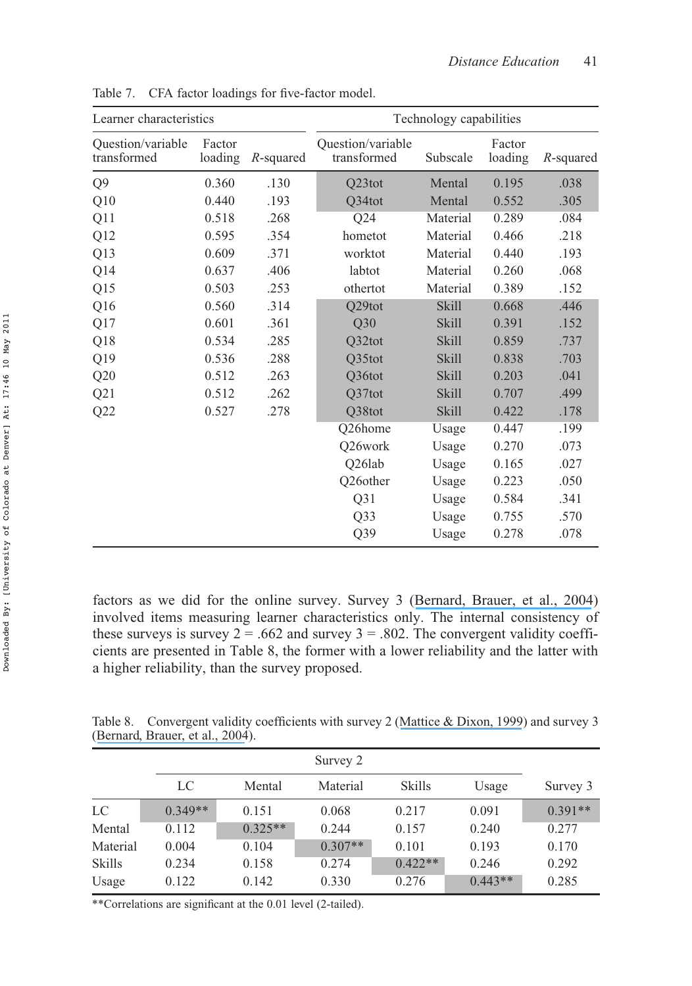| Learner characteristics          |                   |           | Technology capabilities          |              |                   |           |
|----------------------------------|-------------------|-----------|----------------------------------|--------------|-------------------|-----------|
| Question/variable<br>transformed | Factor<br>loading | R-squared | Question/variable<br>transformed | Subscale     | Factor<br>loading | R-squared |
| Q <sub>9</sub>                   | 0.360             | .130      | Q23tot                           | Mental       | 0.195             | .038      |
| Q10                              | 0.440             | .193      | Q34tot                           | Mental       | 0.552             | .305      |
| Q11                              | 0.518             | .268      | Q24                              | Material     | 0.289             | .084      |
| Q12                              | 0.595             | .354      | hometot                          | Material     | 0.466             | .218      |
| Q13                              | 0.609             | .371      | worktot                          | Material     | 0.440             | .193      |
| Q14                              | 0.637             | .406      | labtot                           | Material     | 0.260             | .068      |
| Q15                              | 0.503             | .253      | othertot                         | Material     | 0.389             | .152      |
| Q16                              | 0.560             | .314      | Q29tot                           | Skill        | 0.668             | .446      |
| Q17                              | 0.601             | .361      | Q30                              | Skill        | 0.391             | .152      |
| Q18                              | 0.534             | .285      | O32tot                           | Skill        | 0.859             | .737      |
| Q19                              | 0.536             | .288      | O35tot                           | <b>Skill</b> | 0.838             | .703      |
| Q20                              | 0.512             | .263      | Q36tot                           | Skill        | 0.203             | .041      |
| Q21                              | 0.512             | .262      | O37tot                           | <b>Skill</b> | 0.707             | .499      |
| Q22                              | 0.527             | .278      | O38tot                           | <b>Skill</b> | 0.422             | .178      |
|                                  |                   |           | O <sub>26</sub> home             | Usage        | 0.447             | .199      |
|                                  |                   |           | Q26work                          | Usage        | 0.270             | .073      |
|                                  |                   |           | Q26lab                           | Usage        | 0.165             | .027      |
|                                  |                   |           | Q26other                         | Usage        | 0.223             | .050      |
|                                  |                   |           | Q31                              | Usage        | 0.584             | .341      |
|                                  |                   |           | Q33                              | Usage        | 0.755             | .570      |
|                                  |                   |           | Q39                              | Usage        | 0.278             | .078      |

Table 7. CFA factor loadings for five-factor model.

factors as we did for the online survey. Survey 3 ([Bernard, Brauer, et al., 2004](https://www.researchgate.net/publication/249016740_The_development_of_a_questionnaire_for_predicting_online_learning_achievement?el=1_x_8&enrichId=rgreq-b205b0290859ad36832dc5f852f5d877-XXX&enrichSource=Y292ZXJQYWdlOzIyNDg4NTczMztBUzo5OTY3NTIyNzAzMzYwOEAxNDAwNzc1ODM0NDkx)) involved items measuring learner characteristics only. The internal consistency of these surveys is survey  $2 = .662$  and survey  $3 = .802$ . The convergent validity coefficients are presented in Table 8, the former with a lower reliability and the latter with a higher reliability, than the survey proposed.

Table 8. Convergent validity coefficients with survey 2 ([Mattice & Dixon, 1999](https://www.researchgate.net/publication/234614396_Student_Preparedness_for_Distance_Education?el=1_x_8&enrichId=rgreq-b205b0290859ad36832dc5f852f5d877-XXX&enrichSource=Y292ZXJQYWdlOzIyNDg4NTczMztBUzo5OTY3NTIyNzAzMzYwOEAxNDAwNzc1ODM0NDkx)) and survey 3 ([Bernard, Brauer, et al., 2004](https://www.researchgate.net/publication/249016740_The_development_of_a_questionnaire_for_predicting_online_learning_achievement?el=1_x_8&enrichId=rgreq-b205b0290859ad36832dc5f852f5d877-XXX&enrichSource=Y292ZXJQYWdlOzIyNDg4NTczMztBUzo5OTY3NTIyNzAzMzYwOEAxNDAwNzc1ODM0NDkx)).

|               |           | Survey 2  |           |               |           |           |  |  |
|---------------|-----------|-----------|-----------|---------------|-----------|-----------|--|--|
|               | LC        | Mental    | Material  | <b>Skills</b> | Usage     | Survey 3  |  |  |
| LC            | $0.349**$ | 0.151     | 0.068     | 0.217         | 0.091     | $0.391**$ |  |  |
| Mental        | 0.112     | $0.325**$ | 0.244     | 0.157         | 0.240     | 0.277     |  |  |
| Material      | 0.004     | 0.104     | $0.307**$ | 0.101         | 0.193     | 0.170     |  |  |
| <b>Skills</b> | 0.234     | 0.158     | 0.274     | $0.422**$     | 0.246     | 0.292     |  |  |
| Usage         | 0.122     | 0.142     | 0.330     | 0.276         | $0.443**$ | 0.285     |  |  |

\*\*Correlations are significant at the 0.01 level (2-tailed).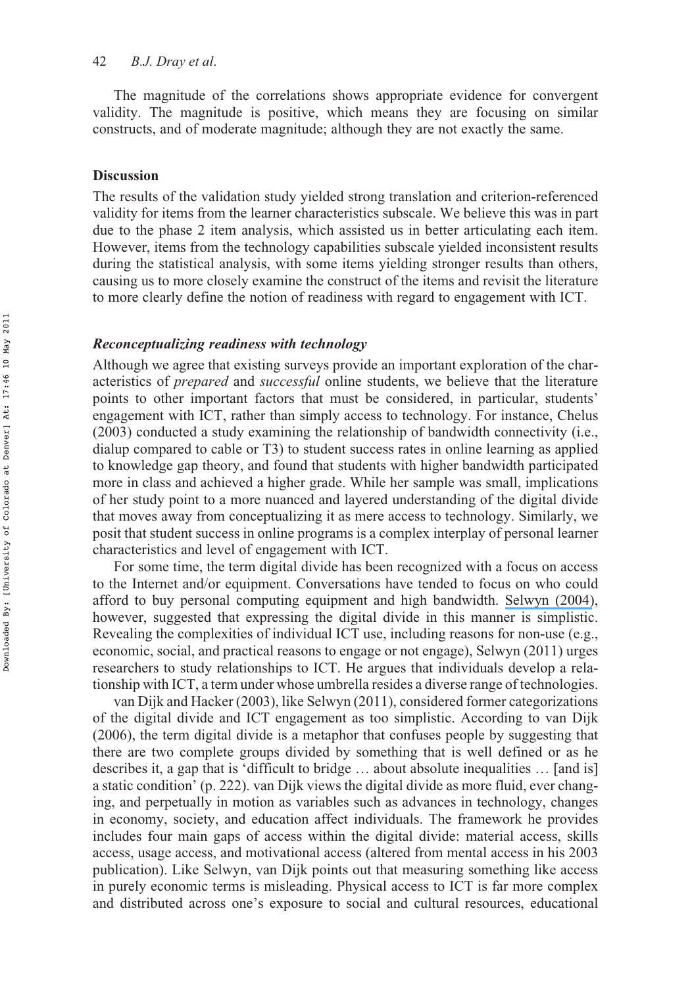#### 42 *B.J. Dray et al*.

The magnitude of the correlations shows appropriate evidence for convergent validity. The magnitude is positive, which means they are focusing on similar constructs, and of moderate magnitude; although they are not exactly the same.

#### **Discussion**

The results of the validation study yielded strong translation and criterion-referenced validity for items from the learner characteristics subscale. We believe this was in part due to the phase 2 item analysis, which assisted us in better articulating each item. However, items from the technology capabilities subscale yielded inconsistent results during the statistical analysis, with some items yielding stronger results than others, causing us to more closely examine the construct of the items and revisit the literature to more clearly define the notion of readiness with regard to engagement with ICT.

#### *Reconceptualizing readiness with technology*

Although we agree that existing surveys provide an important exploration of the characteristics of *prepared* and *successful* online students, we believe that the literature points to other important factors that must be considered, in particular, students' engagement with ICT, rather than simply access to technology. For instance, Chelus (2003) conducted a study examining the relationship of bandwidth connectivity (i.e., dialup compared to cable or T3) to student success rates in online learning as applied to knowledge gap theory, and found that students with higher bandwidth participated more in class and achieved a higher grade. While her sample was small, implications of her study point to a more nuanced and layered understanding of the digital divide that moves away from conceptualizing it as mere access to technology. Similarly, we posit that student success in online programs is a complex interplay of personal learner characteristics and level of engagement with ICT.

For some time, the term digital divide has been recognized with a focus on access to the Internet and/or equipment. Conversations have tended to focus on who could afford to buy personal computing equipment and high bandwidth. [Selwyn \(2004\)](https://www.researchgate.net/publication/247358029_Reconsidering_Political_and_Popular_Understandings_of_the_Digital_Divide?el=1_x_8&enrichId=rgreq-b205b0290859ad36832dc5f852f5d877-XXX&enrichSource=Y292ZXJQYWdlOzIyNDg4NTczMztBUzo5OTY3NTIyNzAzMzYwOEAxNDAwNzc1ODM0NDkx), however, suggested that expressing the digital divide in this manner is simplistic. Revealing the complexities of individual ICT use, including reasons for non-use (e.g., economic, social, and practical reasons to engage or not engage), Selwyn (2011) urges researchers to study relationships to ICT. He argues that individuals develop a relationship with ICT, a term under whose umbrella resides a diverse range of technologies.

van Dijk and Hacker (2003), like Selwyn (2011), considered former categorizations of the digital divide and ICT engagement as too simplistic. According to van Dijk (2006), the term digital divide is a metaphor that confuses people by suggesting that there are two complete groups divided by something that is well defined or as he describes it, a gap that is 'difficult to bridge … about absolute inequalities … [and is] a static condition' (p. 222). van Dijk views the digital divide as more fluid, ever changing, and perpetually in motion as variables such as advances in technology, changes in economy, society, and education affect individuals. The framework he provides includes four main gaps of access within the digital divide: material access, skills access, usage access, and motivational access (altered from mental access in his 2003 publication). Like Selwyn, van Dijk points out that measuring something like access in purely economic terms is misleading. Physical access to ICT is far more complex and distributed across one's exposure to social and cultural resources, educational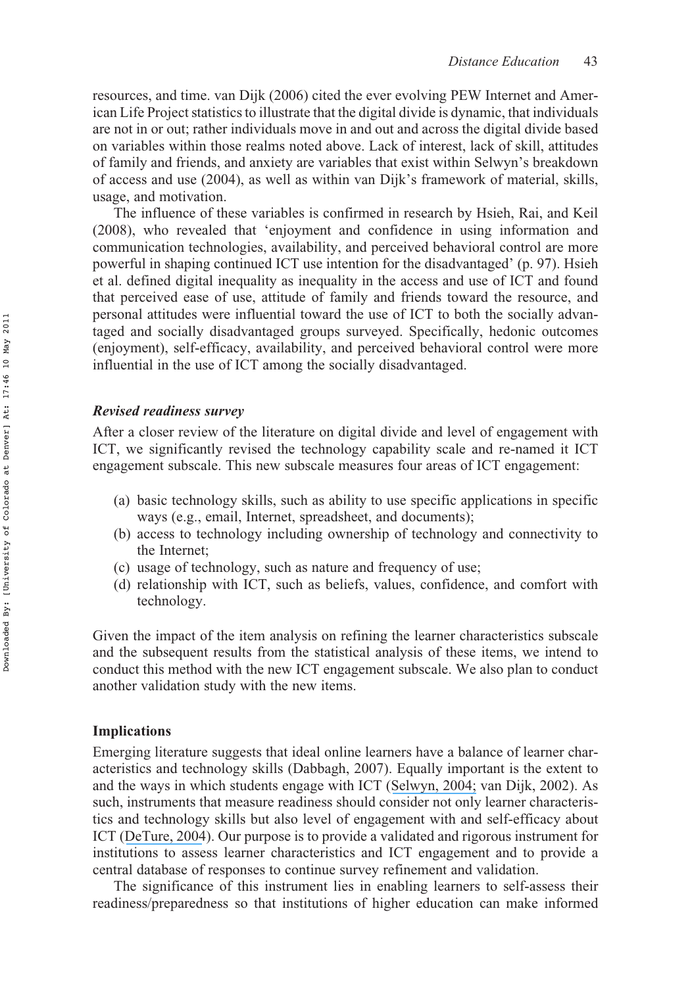resources, and time. van Dijk (2006) cited the ever evolving PEW Internet and American Life Project statistics to illustrate that the digital divide is dynamic, that individuals are not in or out; rather individuals move in and out and across the digital divide based on variables within those realms noted above. Lack of interest, lack of skill, attitudes of family and friends, and anxiety are variables that exist within Selwyn's breakdown of access and use (2004), as well as within van Dijk's framework of material, skills, usage, and motivation.

The influence of these variables is confirmed in research by Hsieh, Rai, and Keil (2008), who revealed that 'enjoyment and confidence in using information and communication technologies, availability, and perceived behavioral control are more powerful in shaping continued ICT use intention for the disadvantaged' (p. 97). Hsieh et al. defined digital inequality as inequality in the access and use of ICT and found that perceived ease of use, attitude of family and friends toward the resource, and personal attitudes were influential toward the use of ICT to both the socially advantaged and socially disadvantaged groups surveyed. Specifically, hedonic outcomes (enjoyment), self-efficacy, availability, and perceived behavioral control were more influential in the use of ICT among the socially disadvantaged.

### *Revised readiness survey*

After a closer review of the literature on digital divide and level of engagement with ICT, we significantly revised the technology capability scale and re-named it ICT engagement subscale. This new subscale measures four areas of ICT engagement:

- (a) basic technology skills, such as ability to use specific applications in specific ways (e.g., email, Internet, spreadsheet, and documents);
- (b) access to technology including ownership of technology and connectivity to the Internet;
- (c) usage of technology, such as nature and frequency of use;
- (d) relationship with ICT, such as beliefs, values, confidence, and comfort with technology.

Given the impact of the item analysis on refining the learner characteristics subscale and the subsequent results from the statistical analysis of these items, we intend to conduct this method with the new ICT engagement subscale. We also plan to conduct another validation study with the new items.

### **Implications**

Emerging literature suggests that ideal online learners have a balance of learner characteristics and technology skills (Dabbagh, 2007). Equally important is the extent to and the ways in which students engage with ICT ([Selwyn, 2004;](https://www.researchgate.net/publication/247358029_Reconsidering_Political_and_Popular_Understandings_of_the_Digital_Divide?el=1_x_8&enrichId=rgreq-b205b0290859ad36832dc5f852f5d877-XXX&enrichSource=Y292ZXJQYWdlOzIyNDg4NTczMztBUzo5OTY3NTIyNzAzMzYwOEAxNDAwNzc1ODM0NDkx) van Dijk, 2002). As such, instruments that measure readiness should consider not only learner characteristics and technology skills but also level of engagement with and self-efficacy about ICT ([DeTure, 2004](https://www.researchgate.net/publication/261663962_Cognitive_Style_and_Self-Efficacy_Predicting_Student_Success_in_Online_Distance_Education?el=1_x_8&enrichId=rgreq-b205b0290859ad36832dc5f852f5d877-XXX&enrichSource=Y292ZXJQYWdlOzIyNDg4NTczMztBUzo5OTY3NTIyNzAzMzYwOEAxNDAwNzc1ODM0NDkx)). Our purpose is to provide a validated and rigorous instrument for institutions to assess learner characteristics and ICT engagement and to provide a central database of responses to continue survey refinement and validation.

The significance of this instrument lies in enabling learners to self-assess their readiness/preparedness so that institutions of higher education can make informed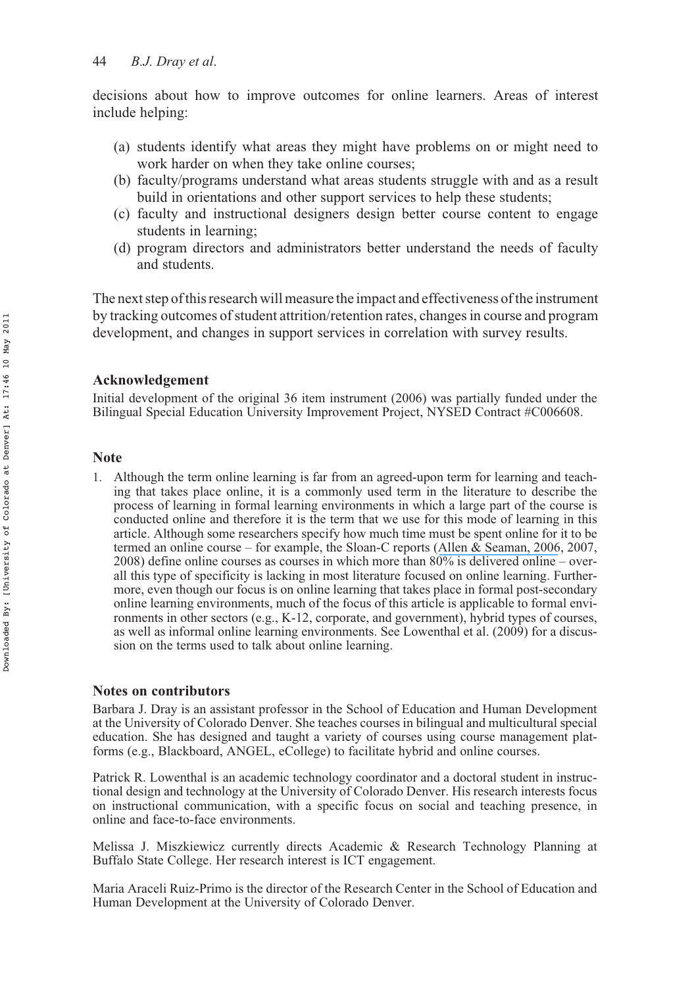decisions about how to improve outcomes for online learners. Areas of interest include helping:

- (a) students identify what areas they might have problems on or might need to work harder on when they take online courses;
- (b) faculty/programs understand what areas students struggle with and as a result build in orientations and other support services to help these students;
- (c) faculty and instructional designers design better course content to engage students in learning;
- (d) program directors and administrators better understand the needs of faculty and students.

The next step of this research will measure the impact and effectiveness of the instrument by tracking outcomes of student attrition/retention rates, changes in course and program development, and changes in support services in correlation with survey results.

# **Acknowledgement**

Initial development of the original 36 item instrument (2006) was partially funded under the Bilingual Special Education University Improvement Project, NYSED Contract #C006608.

# **Note**

1. Although the term online learning is far from an agreed-upon term for learning and teaching that takes place online, it is a commonly used term in the literature to describe the process of learning in formal learning environments in which a large part of the course is conducted online and therefore it is the term that we use for this mode of learning in this article. Although some researchers specify how much time must be spent online for it to be termed an online course – for example, the Sloan-C reports ([Allen & Seaman, 2006](https://www.researchgate.net/publication/279689661_Making_the_Grade_Online_Education_in_the_United_States_2006_Midwestern_Edition?el=1_x_8&enrichId=rgreq-b205b0290859ad36832dc5f852f5d877-XXX&enrichSource=Y292ZXJQYWdlOzIyNDg4NTczMztBUzo5OTY3NTIyNzAzMzYwOEAxNDAwNzc1ODM0NDkx), 2007, 2008) define online courses as courses in which more than 80% is delivered online – overall this type of specificity is lacking in most literature focused on online learning. Furthermore, even though our focus is on online learning that takes place in formal post-secondary online learning environments, much of the focus of this article is applicable to formal environments in other sectors (e.g., K-12, corporate, and government), hybrid types of courses, as well as informal online learning environments. See Lowenthal et al. (2009) for a discussion on the terms used to talk about online learning.

### **Notes on contributors**

Barbara J. Dray is an assistant professor in the School of Education and Human Development at the University of Colorado Denver. She teaches courses in bilingual and multicultural special education. She has designed and taught a variety of courses using course management platforms (e.g., Blackboard, ANGEL, eCollege) to facilitate hybrid and online courses.

Patrick R. Lowenthal is an academic technology coordinator and a doctoral student in instructional design and technology at the University of Colorado Denver. His research interests focus on instructional communication, with a specific focus on social and teaching presence, in online and face-to-face environments.

Melissa J. Miszkiewicz currently directs Academic & Research Technology Planning at Buffalo State College. Her research interest is ICT engagement.

Maria Araceli Ruiz-Primo is the director of the Research Center in the School of Education and Human Development at the University of Colorado Denver.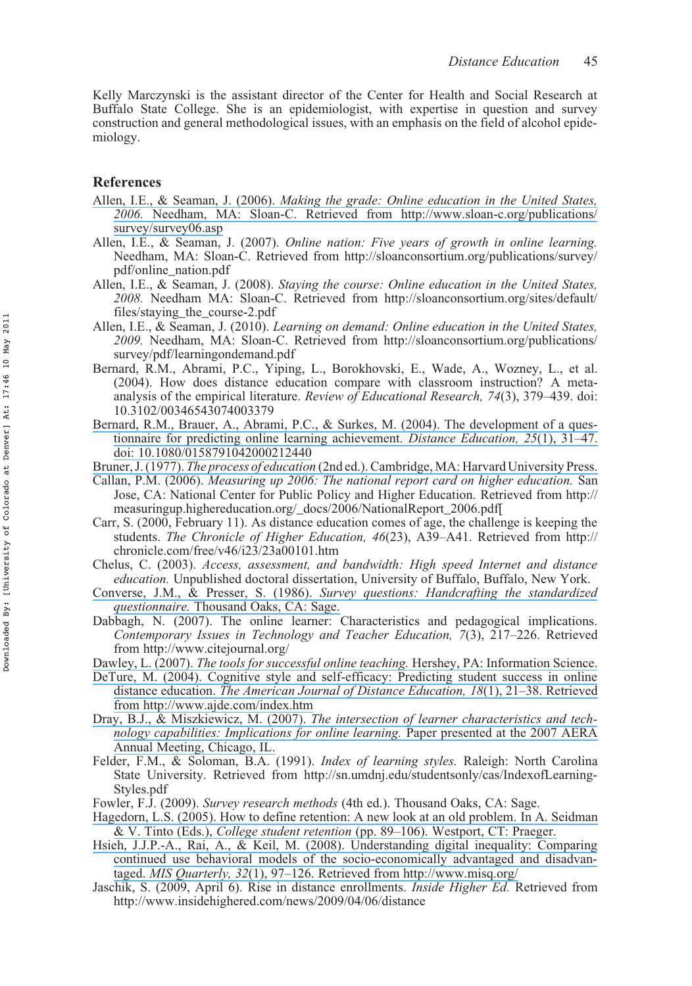Kelly Marczynski is the assistant director of the Center for Health and Social Research at Buffalo State College. She is an epidemiologist, with expertise in question and survey construction and general methodological issues, with an emphasis on the field of alcohol epidemiology.

### **References**

- Allen, I.E., & Seaman, J. (2006). *[Making the grade: Online education in the United States,](https://www.researchgate.net/publication/279689661_Making_the_Grade_Online_Education_in_the_United_States_2006_Midwestern_Edition?el=1_x_8&enrichId=rgreq-b205b0290859ad36832dc5f852f5d877-XXX&enrichSource=Y292ZXJQYWdlOzIyNDg4NTczMztBUzo5OTY3NTIyNzAzMzYwOEAxNDAwNzc1ODM0NDkx) 2006.* [Needham, MA: Sloan-C. Retrieved from http://www.sloan-c.org/publications/](https://www.researchgate.net/publication/279689661_Making_the_Grade_Online_Education_in_the_United_States_2006_Midwestern_Edition?el=1_x_8&enrichId=rgreq-b205b0290859ad36832dc5f852f5d877-XXX&enrichSource=Y292ZXJQYWdlOzIyNDg4NTczMztBUzo5OTY3NTIyNzAzMzYwOEAxNDAwNzc1ODM0NDkx) [survey/survey06.asp](https://www.researchgate.net/publication/279689661_Making_the_Grade_Online_Education_in_the_United_States_2006_Midwestern_Edition?el=1_x_8&enrichId=rgreq-b205b0290859ad36832dc5f852f5d877-XXX&enrichSource=Y292ZXJQYWdlOzIyNDg4NTczMztBUzo5OTY3NTIyNzAzMzYwOEAxNDAwNzc1ODM0NDkx)
- Allen, I.E., & Seaman, J. (2007). *Online nation: Five years of growth in online learning.* Needham, MA: Sloan-C. Retrieved from http://sloanconsortium.org/publications/survey/ pdf/online\_nation.pdf
- Allen, I.E., & Seaman, J. (2008). *Staying the course: Online education in the United States, 2008.* Needham MA: Sloan-C. Retrieved from http://sloanconsortium.org/sites/default/ files/staying\_the\_course-2.pdf
- Allen, I.E., & Seaman, J. (2010). *Learning on demand: Online education in the United States, 2009.* Needham, MA: Sloan-C. Retrieved from http://sloanconsortium.org/publications/ survey/pdf/learningondemand.pdf
- Bernard, R.M., Abrami, P.C., Yiping, L., Borokhovski, E., Wade, A., Wozney, L., et al. (2004). How does distance education compare with classroom instruction? A metaanalysis of the empirical literature. *Review of Educational Research, 74*(3), 379–439. doi: 10.3102/00346543074003379
- [Bernard, R.M., Brauer, A., Abrami, P.C., & Surkes, M. \(2004\). The development of a ques](https://www.researchgate.net/publication/249016740_The_development_of_a_questionnaire_for_predicting_online_learning_achievement?el=1_x_8&enrichId=rgreq-b205b0290859ad36832dc5f852f5d877-XXX&enrichSource=Y292ZXJQYWdlOzIyNDg4NTczMztBUzo5OTY3NTIyNzAzMzYwOEAxNDAwNzc1ODM0NDkx)[tionnaire for predicting online learning achievement.](https://www.researchgate.net/publication/249016740_The_development_of_a_questionnaire_for_predicting_online_learning_achievement?el=1_x_8&enrichId=rgreq-b205b0290859ad36832dc5f852f5d877-XXX&enrichSource=Y292ZXJQYWdlOzIyNDg4NTczMztBUzo5OTY3NTIyNzAzMzYwOEAxNDAwNzc1ODM0NDkx) *Distance Education, 25*(1), 31–47. [doi: 10.1080/0158791042000212440](https://www.researchgate.net/publication/249016740_The_development_of_a_questionnaire_for_predicting_online_learning_achievement?el=1_x_8&enrichId=rgreq-b205b0290859ad36832dc5f852f5d877-XXX&enrichSource=Y292ZXJQYWdlOzIyNDg4NTczMztBUzo5OTY3NTIyNzAzMzYwOEAxNDAwNzc1ODM0NDkx)
- Bruner, J. (1977). *The process of education* [\(2nd ed.\). Cambridge, MA: Harvard University Press.](https://www.researchgate.net/publication/48130877_The_Process_of_Education?el=1_x_8&enrichId=rgreq-b205b0290859ad36832dc5f852f5d877-XXX&enrichSource=Y292ZXJQYWdlOzIyNDg4NTczMztBUzo5OTY3NTIyNzAzMzYwOEAxNDAwNzc1ODM0NDkx)
- Callan, P.M. (2006). *Measuring up 2006: The national report card on higher education.* San Jose, CA: National Center for Public Policy and Higher Education. Retrieved from http:// measuringup.highereducation.org/\_docs/2006/NationalReport\_2006.pdf[
- Carr, S. (2000, February 11). As distance education comes of age, the challenge is keeping the students. *The Chronicle of Higher Education, 46*(23), A39–A41. Retrieved from http:// chronicle.com/free/v46/i23/23a00101.htm
- Chelus, C. (2003). *Access, assessment, and bandwidth: High speed Internet and distance education.* Unpublished doctoral dissertation, University of Buffalo, Buffalo, New York.
- Converse, J.M., & Presser, S. (1986). *[Survey questions: Handcrafting the standardized](https://www.researchgate.net/publication/44821978_Survey_Questions_Handcrafting_The_Standardized_Questionnaire?el=1_x_8&enrichId=rgreq-b205b0290859ad36832dc5f852f5d877-XXX&enrichSource=Y292ZXJQYWdlOzIyNDg4NTczMztBUzo5OTY3NTIyNzAzMzYwOEAxNDAwNzc1ODM0NDkx) questionnaire.* [Thousand Oaks, CA: Sage.](https://www.researchgate.net/publication/44821978_Survey_Questions_Handcrafting_The_Standardized_Questionnaire?el=1_x_8&enrichId=rgreq-b205b0290859ad36832dc5f852f5d877-XXX&enrichSource=Y292ZXJQYWdlOzIyNDg4NTczMztBUzo5OTY3NTIyNzAzMzYwOEAxNDAwNzc1ODM0NDkx)
- Dabbagh, N. (2007). The online learner: Characteristics and pedagogical implications. *Contemporary Issues in Technology and Teacher Education, 7*(3), 217–226. Retrieved from http://www.citejournal.org/
- Dawley, L. (2007). *[The tools for successful online teaching.](https://www.researchgate.net/publication/31863530_The_Tools_for_Successful_Online_Teaching_L_Dawley?el=1_x_8&enrichId=rgreq-b205b0290859ad36832dc5f852f5d877-XXX&enrichSource=Y292ZXJQYWdlOzIyNDg4NTczMztBUzo5OTY3NTIyNzAzMzYwOEAxNDAwNzc1ODM0NDkx)* Hershey, PA: Information Science.
- [DeTure, M. \(2004\). Cognitive style and self-efficacy: Predicting student success in online](https://www.researchgate.net/publication/261663962_Cognitive_Style_and_Self-Efficacy_Predicting_Student_Success_in_Online_Distance_Education?el=1_x_8&enrichId=rgreq-b205b0290859ad36832dc5f852f5d877-XXX&enrichSource=Y292ZXJQYWdlOzIyNDg4NTczMztBUzo5OTY3NTIyNzAzMzYwOEAxNDAwNzc1ODM0NDkx) distance education. *[The American Journal of Distance Education,](https://www.researchgate.net/publication/261663962_Cognitive_Style_and_Self-Efficacy_Predicting_Student_Success_in_Online_Distance_Education?el=1_x_8&enrichId=rgreq-b205b0290859ad36832dc5f852f5d877-XXX&enrichSource=Y292ZXJQYWdlOzIyNDg4NTczMztBUzo5OTY3NTIyNzAzMzYwOEAxNDAwNzc1ODM0NDkx) 18*(1), 21–38. Retrieved [from http://www.ajde.com/index.htm](https://www.researchgate.net/publication/261663962_Cognitive_Style_and_Self-Efficacy_Predicting_Student_Success_in_Online_Distance_Education?el=1_x_8&enrichId=rgreq-b205b0290859ad36832dc5f852f5d877-XXX&enrichSource=Y292ZXJQYWdlOzIyNDg4NTczMztBUzo5OTY3NTIyNzAzMzYwOEAxNDAwNzc1ODM0NDkx)
- Dray, B.J., & Miszkiewicz, M. (2007). *[The intersection of learner characteristics and tech](https://www.researchgate.net/publication/49250852_The_Intersection_of_Learner_Characteristics_and_Technology_Capabilities_Implications_for_Online_Learning?el=1_x_8&enrichId=rgreq-b205b0290859ad36832dc5f852f5d877-XXX&enrichSource=Y292ZXJQYWdlOzIyNDg4NTczMztBUzo5OTY3NTIyNzAzMzYwOEAxNDAwNzc1ODM0NDkx)[nology capabilities: Implications for online learning.](https://www.researchgate.net/publication/49250852_The_Intersection_of_Learner_Characteristics_and_Technology_Capabilities_Implications_for_Online_Learning?el=1_x_8&enrichId=rgreq-b205b0290859ad36832dc5f852f5d877-XXX&enrichSource=Y292ZXJQYWdlOzIyNDg4NTczMztBUzo5OTY3NTIyNzAzMzYwOEAxNDAwNzc1ODM0NDkx)* Paper presented at the 2007 AERA [Annual Meeting, Chicago, IL.](https://www.researchgate.net/publication/49250852_The_Intersection_of_Learner_Characteristics_and_Technology_Capabilities_Implications_for_Online_Learning?el=1_x_8&enrichId=rgreq-b205b0290859ad36832dc5f852f5d877-XXX&enrichSource=Y292ZXJQYWdlOzIyNDg4NTczMztBUzo5OTY3NTIyNzAzMzYwOEAxNDAwNzc1ODM0NDkx)
- Felder, F.M., & Soloman, B.A. (1991). *Index of learning styles.* Raleigh: North Carolina State University. Retrieved from http://sn.umdnj.edu/studentsonly/cas/IndexofLearning-Styles.pdf
- Fowler, F.J. (2009). *Survey research methods* (4th ed.). Thousand Oaks, CA: Sage.
- [Hagedorn, L.S. \(2005\). How to define retention: A new look at an old problem. In A. Seidman](https://www.researchgate.net/publication/237554795_How_to_define_retention_A_New_Look_at_an_Old_Problem?el=1_x_8&enrichId=rgreq-b205b0290859ad36832dc5f852f5d877-XXX&enrichSource=Y292ZXJQYWdlOzIyNDg4NTczMztBUzo5OTY3NTIyNzAzMzYwOEAxNDAwNzc1ODM0NDkx) & V. Tinto (Eds.), *College student retention* [\(pp. 89–106\). Westport, CT: Praeger.](https://www.researchgate.net/publication/237554795_How_to_define_retention_A_New_Look_at_an_Old_Problem?el=1_x_8&enrichId=rgreq-b205b0290859ad36832dc5f852f5d877-XXX&enrichSource=Y292ZXJQYWdlOzIyNDg4NTczMztBUzo5OTY3NTIyNzAzMzYwOEAxNDAwNzc1ODM0NDkx)
- [Hsieh, J.J.P.-A., Rai, A., & Keil, M. \(2008\). Understanding digital inequality: Comparing](https://www.researchgate.net/publication/220260378_Understanding_Digital_Inequality_Comparing_Continued_Use_Behavioral_Models_of_the_Socio-Economically_Advantaged_and_Disadvantaged?el=1_x_8&enrichId=rgreq-b205b0290859ad36832dc5f852f5d877-XXX&enrichSource=Y292ZXJQYWdlOzIyNDg4NTczMztBUzo5OTY3NTIyNzAzMzYwOEAxNDAwNzc1ODM0NDkx) [continued use behavioral models of the socio-economically advantaged and disadvan](https://www.researchgate.net/publication/220260378_Understanding_Digital_Inequality_Comparing_Continued_Use_Behavioral_Models_of_the_Socio-Economically_Advantaged_and_Disadvantaged?el=1_x_8&enrichId=rgreq-b205b0290859ad36832dc5f852f5d877-XXX&enrichSource=Y292ZXJQYWdlOzIyNDg4NTczMztBUzo5OTY3NTIyNzAzMzYwOEAxNDAwNzc1ODM0NDkx)taged. *MIS Quarterly, 32*[\(1\), 97–126. Retrieved from http://www.misq.org/](https://www.researchgate.net/publication/220260378_Understanding_Digital_Inequality_Comparing_Continued_Use_Behavioral_Models_of_the_Socio-Economically_Advantaged_and_Disadvantaged?el=1_x_8&enrichId=rgreq-b205b0290859ad36832dc5f852f5d877-XXX&enrichSource=Y292ZXJQYWdlOzIyNDg4NTczMztBUzo5OTY3NTIyNzAzMzYwOEAxNDAwNzc1ODM0NDkx)
- Jaschik, S. (2009, April 6). Rise in distance enrollments. *Inside Higher Ed.* Retrieved from http://www.insidehighered.com/news/2009/04/06/distance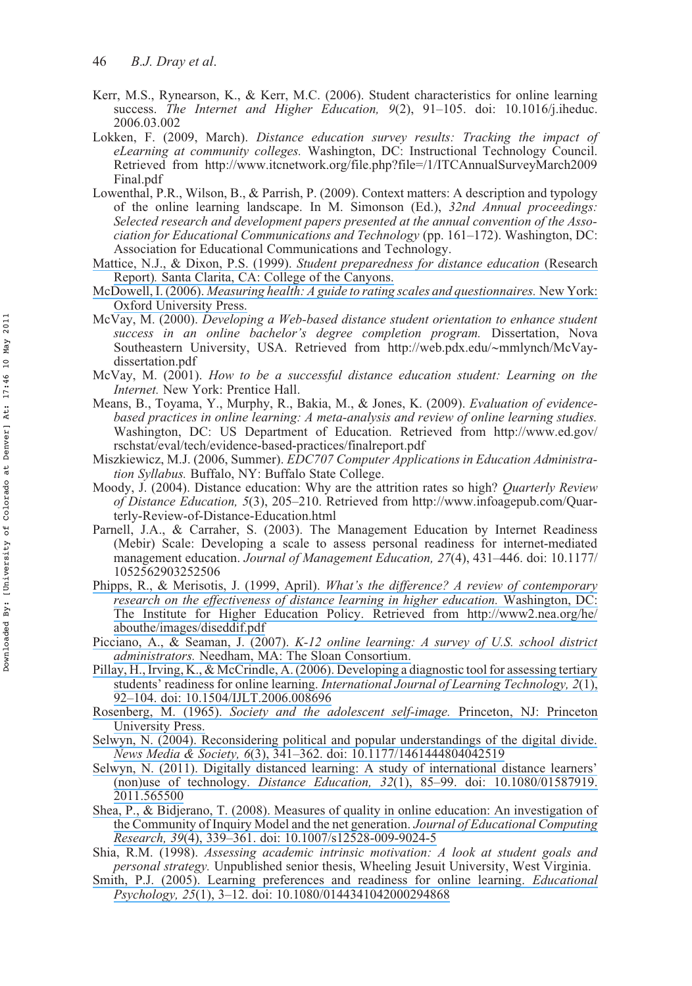- Kerr, M.S., Rynearson, K., & Kerr, M.C. (2006). Student characteristics for online learning success. *The Internet and Higher Education, 9*(2), 91–105. doi: 10.1016/j.iheduc. 2006.03.002
- Lokken, F. (2009, March). *Distance education survey results: Tracking the impact of eLearning at community colleges.* Washington, DC: Instructional Technology Council. Retrieved from http://www.itcnetwork.org/file.php?file=/1/ITCAnnualSurveyMarch2009 Final.pdf
- Lowenthal, P.R., Wilson, B., & Parrish, P. (2009). Context matters: A description and typology of the online learning landscape. In M. Simonson (Ed.), *32nd Annual proceedings: Selected research and development papers presented at the annual convention of the Association for Educational Communications and Technology* (pp. 161–172). Washington, DC: Association for Educational Communications and Technology.
- Mattice, N.J., & Dixon, P.S. (1999). *[Student preparedness for distance education](https://www.researchgate.net/publication/234614396_Student_Preparedness_for_Distance_Education?el=1_x_8&enrichId=rgreq-b205b0290859ad36832dc5f852f5d877-XXX&enrichSource=Y292ZXJQYWdlOzIyNDg4NTczMztBUzo5OTY3NTIyNzAzMzYwOEAxNDAwNzc1ODM0NDkx)* (Research Report)*.* [Santa Clarita, CA: College of the Canyons.](https://www.researchgate.net/publication/234614396_Student_Preparedness_for_Distance_Education?el=1_x_8&enrichId=rgreq-b205b0290859ad36832dc5f852f5d877-XXX&enrichSource=Y292ZXJQYWdlOzIyNDg4NTczMztBUzo5OTY3NTIyNzAzMzYwOEAxNDAwNzc1ODM0NDkx)
- McDowell, I. (2006). *[Measuring health: A guide to rating scales and questionnaires.](https://www.researchgate.net/publication/281729802_A_Guide_to_Rating_Scales_and_Questionnaires?el=1_x_8&enrichId=rgreq-b205b0290859ad36832dc5f852f5d877-XXX&enrichSource=Y292ZXJQYWdlOzIyNDg4NTczMztBUzo5OTY3NTIyNzAzMzYwOEAxNDAwNzc1ODM0NDkx)* New York: [Oxford University Press.](https://www.researchgate.net/publication/281729802_A_Guide_to_Rating_Scales_and_Questionnaires?el=1_x_8&enrichId=rgreq-b205b0290859ad36832dc5f852f5d877-XXX&enrichSource=Y292ZXJQYWdlOzIyNDg4NTczMztBUzo5OTY3NTIyNzAzMzYwOEAxNDAwNzc1ODM0NDkx)
- McVay, M. (2000). *Developing a Web-based distance student orientation to enhance student success in an online bachelor's degree completion program.* Dissertation, Nova Southeastern University, USA. Retrieved from http://web.pdx.edu/∼mmlynch/McVaydissertation.pdf
- McVay, M. (2001). *How to be a successful distance education student: Learning on the Internet.* New York: Prentice Hall.
- Means, B., Toyama, Y., Murphy, R., Bakia, M., & Jones, K. (2009). *Evaluation of evidencebased practices in online learning: A meta-analysis and review of online learning studies.* Washington, DC: US Department of Education. Retrieved from http://www.ed.gov/ rschstat/eval/tech/evidence-based-practices/finalreport.pdf
- Miszkiewicz, M.J. (2006, Summer). *EDC707 Computer Applications in Education Administration Syllabus.* Buffalo, NY: Buffalo State College.
- Moody, J. (2004). Distance education: Why are the attrition rates so high? *Quarterly Review of Distance Education, 5*(3), 205–210. Retrieved from http://www.infoagepub.com/Quarterly-Review-of-Distance-Education.html
- Parnell, J.A., & Carraher, S. (2003). The Management Education by Internet Readiness (Mebir) Scale: Developing a scale to assess personal readiness for internet-mediated management education. *Journal of Management Education, 27*(4), 431–446. doi: 10.1177/ 1052562903252506
- Phipps, R., & Merisotis, J. (1999, April). *[What's the difference? A review of contemporary](https://www.researchgate.net/publication/243780004_What) [research on the effectiveness of distance learning in higher education.](https://www.researchgate.net/publication/243780004_What)* Washington, DC: [The Institute for Higher Education Policy. Retrieved from http://www2.nea.org/he/](https://www.researchgate.net/publication/243780004_What) [abouthe/images/diseddif.pdf](https://www.researchgate.net/publication/243780004_What)
- Picciano, A., & Seaman, J. (2007). *[K-12 online learning: A survey of U.S. school district](https://www.researchgate.net/publication/258209058_K-12_online_learning_A_survey_of_US_School_district_administrators?el=1_x_8&enrichId=rgreq-b205b0290859ad36832dc5f852f5d877-XXX&enrichSource=Y292ZXJQYWdlOzIyNDg4NTczMztBUzo5OTY3NTIyNzAzMzYwOEAxNDAwNzc1ODM0NDkx) administrators.* [Needham, MA: The Sloan Consortium.](https://www.researchgate.net/publication/258209058_K-12_online_learning_A_survey_of_US_School_district_administrators?el=1_x_8&enrichId=rgreq-b205b0290859ad36832dc5f852f5d877-XXX&enrichSource=Y292ZXJQYWdlOzIyNDg4NTczMztBUzo5OTY3NTIyNzAzMzYwOEAxNDAwNzc1ODM0NDkx)
- [Pillay, H., Irving, K., & McCrindle, A. \(2006\). Developing a diagnostic tool for assessing tertiary](https://www.researchgate.net/publication/27469440_Developing_a_diagnostic_tool_for_assessing_tertiarystudents) students' readiness for online learning. *[International Journal of Learning Technology,](https://www.researchgate.net/publication/27469440_Developing_a_diagnostic_tool_for_assessing_tertiarystudents) 2*(1), [92–104. doi: 10.1504/IJLT.2006.008696](https://www.researchgate.net/publication/27469440_Developing_a_diagnostic_tool_for_assessing_tertiarystudents)
- Rosenberg, M. (1965). *[Society and the adolescent self-image.](https://www.researchgate.net/publication/200008900_Society_And_The_Adolescent_Self-Image?el=1_x_8&enrichId=rgreq-b205b0290859ad36832dc5f852f5d877-XXX&enrichSource=Y292ZXJQYWdlOzIyNDg4NTczMztBUzo5OTY3NTIyNzAzMzYwOEAxNDAwNzc1ODM0NDkx)* Princeton, NJ: Princeton [University Press.](https://www.researchgate.net/publication/200008900_Society_And_The_Adolescent_Self-Image?el=1_x_8&enrichId=rgreq-b205b0290859ad36832dc5f852f5d877-XXX&enrichSource=Y292ZXJQYWdlOzIyNDg4NTczMztBUzo5OTY3NTIyNzAzMzYwOEAxNDAwNzc1ODM0NDkx)
- [Selwyn, N. \(2004\). Reconsidering political and popular understandings of the digital divide.](https://www.researchgate.net/publication/247358029_Reconsidering_Political_and_Popular_Understandings_of_the_Digital_Divide?el=1_x_8&enrichId=rgreq-b205b0290859ad36832dc5f852f5d877-XXX&enrichSource=Y292ZXJQYWdlOzIyNDg4NTczMztBUzo5OTY3NTIyNzAzMzYwOEAxNDAwNzc1ODM0NDkx) *News Media & Society, 6*[\(3\), 341–362. doi: 10.1177/1461444804042519](https://www.researchgate.net/publication/247358029_Reconsidering_Political_and_Popular_Understandings_of_the_Digital_Divide?el=1_x_8&enrichId=rgreq-b205b0290859ad36832dc5f852f5d877-XXX&enrichSource=Y292ZXJQYWdlOzIyNDg4NTczMztBUzo5OTY3NTIyNzAzMzYwOEAxNDAwNzc1ODM0NDkx)
- [Selwyn, N. \(2011\). Digitally distanced learning: A study of international distance learners'](https://www.researchgate.net/publication/232909177_Digitally_distanced_learning_A_study_of_international_distance_learners) (non)use of technology. *Distance Education, 32*[\(1\), 85–99. doi: 10.1080/01587919.](https://www.researchgate.net/publication/232909177_Digitally_distanced_learning_A_study_of_international_distance_learners) [2011.565500](https://www.researchgate.net/publication/232909177_Digitally_distanced_learning_A_study_of_international_distance_learners)
- [Shea, P., & Bidjerano, T. \(2008\). Measures of quality in online education: An investigation of](https://www.researchgate.net/publication/250144843_Measures_of_Quality_in_Online_Education_An_Investigation_of_the_Community_of_Inquiry_Model_and_the_Net_Generation?el=1_x_8&enrichId=rgreq-b205b0290859ad36832dc5f852f5d877-XXX&enrichSource=Y292ZXJQYWdlOzIyNDg4NTczMztBUzo5OTY3NTIyNzAzMzYwOEAxNDAwNzc1ODM0NDkx) [the Community of Inquiry Model and the net generation.](https://www.researchgate.net/publication/250144843_Measures_of_Quality_in_Online_Education_An_Investigation_of_the_Community_of_Inquiry_Model_and_the_Net_Generation?el=1_x_8&enrichId=rgreq-b205b0290859ad36832dc5f852f5d877-XXX&enrichSource=Y292ZXJQYWdlOzIyNDg4NTczMztBUzo5OTY3NTIyNzAzMzYwOEAxNDAwNzc1ODM0NDkx) *Journal of Educational Computing Research, 39*[\(4\), 339–361. doi: 10.1007/s12528-009-9024-5](https://www.researchgate.net/publication/250144843_Measures_of_Quality_in_Online_Education_An_Investigation_of_the_Community_of_Inquiry_Model_and_the_Net_Generation?el=1_x_8&enrichId=rgreq-b205b0290859ad36832dc5f852f5d877-XXX&enrichSource=Y292ZXJQYWdlOzIyNDg4NTczMztBUzo5OTY3NTIyNzAzMzYwOEAxNDAwNzc1ODM0NDkx)
- Shia, R.M. (1998). *Assessing academic intrinsic motivation: A look at student goals and personal strategy.* Unpublished senior thesis, Wheeling Jesuit University, West Virginia.
- [Smith, P.J. \(2005\). Learning preferences and readiness for online learning.](https://www.researchgate.net/publication/247513648_Learning_preferences_and_readiness_for_online_learning?el=1_x_8&enrichId=rgreq-b205b0290859ad36832dc5f852f5d877-XXX&enrichSource=Y292ZXJQYWdlOzIyNDg4NTczMztBUzo5OTY3NTIyNzAzMzYwOEAxNDAwNzc1ODM0NDkx) *Educational Psychology, 25*[\(1\), 3–12. doi: 10.1080/0144341042000294868](https://www.researchgate.net/publication/247513648_Learning_preferences_and_readiness_for_online_learning?el=1_x_8&enrichId=rgreq-b205b0290859ad36832dc5f852f5d877-XXX&enrichSource=Y292ZXJQYWdlOzIyNDg4NTczMztBUzo5OTY3NTIyNzAzMzYwOEAxNDAwNzc1ODM0NDkx)